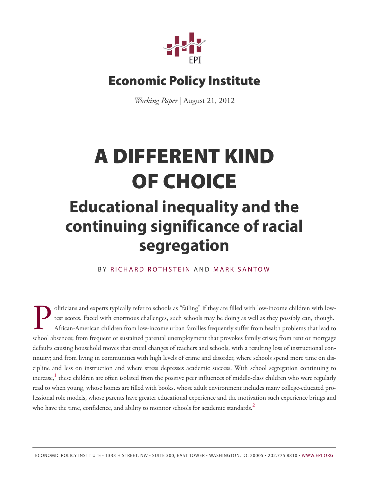

### **Economic Policy Institute**

*Working Paper* | August 21, 2012

# **A DIFFERENT KIND OF CHOICE**

## **Educational inequality and the continuing significance of racial segregation**

#### BY RICHAR[D R](http://www.epi.org/people/richard-rothstein/)OTHSTEIN AND MAR[K S](http://www.epi.org/people/mark-santow/)ANTOW

<span id="page-0-1"></span><span id="page-0-0"></span>Deliticians and experts typically refer to schools as "failing" if they are filled with low-income children with low-<br>test scores. Faced with enormous challenges, such schools may be doing as well as they possibly can, tho oliticians and experts typically refer to schools as "failing" if they are filled with low-income children with lowtest scores. Faced with enormous challenges, such schools may be doing as well as they possibly can, though. African-American children from low-income urban families frequently suffer from health problems that lead to defaults causing household moves that entail changes of teachers and schools, with a resulting loss of instructional continuity; and from living in communities with high levels of crime and disorder, where schools spend more time on discipline and less on instruction and where stress depresses academic success. With school segregation continuing to increase, **[1](#page-20-0)** these children are often isolated from the positive peer influences of middle-class children who were regularly read to when young, whose homes are filled with books, whose adult environment includes many college-educated professional role models, whose parents have greater educational experience and the motivation such experience brings and who have the time, confidence, and ability to monitor schools for academic standards. **[2](#page-20-1)**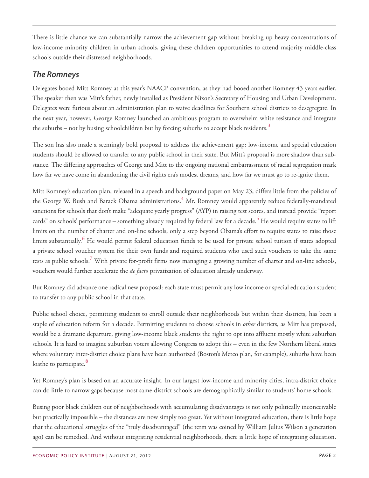There is little chance we can substantially narrow the achievement gap without breaking up heavy concentrations of low-income minority children in urban schools, giving these children opportunities to attend majority middle-class schools outside their distressed neighborhoods.

#### *The Romneys*

Delegates booed Mitt Romney at this year's NAACP convention, as they had booed another Romney 43 years earlier. The speaker then was Mitt's father, newly installed as President Nixon's Secretary of Housing and Urban Development. Delegates were furious about an administration plan to waive deadlines for Southern school districts to desegregate. In the next year, however, George Romney launched an ambitious program to overwhelm white resistance and integrate the suburbs – not by busing schoolchildren but by forcing suburbs to accept black residents. **[3](#page-20-2)**

<span id="page-1-0"></span>The son has also made a seemingly bold proposal to address the achievement gap: low-income and special education students should be allowed to transfer to any public school in their state. But Mitt's proposal is more shadow than substance. The differing approaches of George and Mitt to the ongoing national embarrassment of racial segregation mark how far we have come in abandoning the civil rights era's modest dreams, and how far we must go to re-ignite them.

<span id="page-1-3"></span><span id="page-1-2"></span><span id="page-1-1"></span>Mitt Romney's education plan, released in a speech and background paper on May 23, differs little from the policies of the George W. Bush and Barack Obama administrations. **[4](#page-20-3)** Mr. Romney would apparently reduce federally-mandated sanctions for schools that don't make "adequate yearly progress" (AYP) in raising test scores, and instead provide "report cards" on schools' performance – something already required by federal law for a decade. **[5](#page-20-4)** He would require states to lift limits on the number of charter and on-line schools, only a step beyond Obama's effort to require states to raise those limits substantially. **[6](#page-21-0)** He would permit federal education funds to be used for private school tuition if states adopted a private school voucher system for their own funds and required students who used such vouchers to take the same tests as public schools. **[7](#page-21-1)** With private for-profit firms now managing a growing number of charter and on-line schools, vouchers would further accelerate the *de facto* privatization of education already underway.

<span id="page-1-4"></span>But Romney did advance one radical new proposal: each state must permit any low income or special education student to transfer to any public school in that state.

Public school choice, permitting students to enroll outside their neighborhoods but within their districts, has been a staple of education reform for a decade. Permitting students to choose schools in *other* districts, as Mitt has proposed, would be a dramatic departure, giving low-income black students the right to opt into affluent mostly white suburban schools. It is hard to imagine suburban voters allowing Congress to adopt this – even in the few Northern liberal states where voluntary inter-district choice plans have been authorized (Boston's Metco plan, for example), suburbs have been loathe to participate. **[8](#page-21-2)**

<span id="page-1-5"></span>Yet Romney's plan is based on an accurate insight. In our largest low-income and minority cities, intra-district choice can do little to narrow gaps because most same-district schools are demographically similar to students' home schools.

Busing poor black children out of neighborhoods with accumulating disadvantages is not only politically inconceivable but practically impossible – the distances are now simply too great. Yet without integrated education, there is little hope that the educational struggles of the "truly disadvantaged" (the term was coined by William Julius Wilson a generation ago) can be remedied. And without integrating residential neighborhoods, there is little hope of integrating education.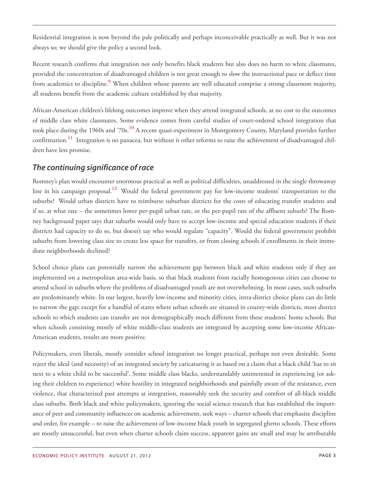Residential integration is now beyond the pale politically and perhaps inconceivable practically as well. But it was not always so; we should give the policy a second look.

<span id="page-2-0"></span>Recent research confirms that integration not only benefits black students but also does no harm to white classmates, provided the concentration of disadvantaged children is not great enough to slow the instructional pace or deflect time from academics to discipline. **[9](#page-21-3)** When children whose parents are well educated comprise a strong classroom majority, all students benefit from the academic culture established by that majority.

<span id="page-2-2"></span><span id="page-2-1"></span>African-American children's lifelong outcomes improve when they attend integrated schools, at no cost to the outcomes of middle class white classmates. Some evidence comes from careful studies of court-ordered school integration that took place during the 1960s and '70s. **[10](#page-21-4)** A recent quasi-experiment in Montgomery County, Maryland provides further confirmation. **[11](#page-21-5)** Integration is no panacea, but without it other reforms to raise the achievement of disadvantaged children have less promise.

#### *The continuing significance of race*

<span id="page-2-3"></span>Romney's plan would encounter enormous practical as well as political difficulties, unaddressed in the single throwaway line in his campaign proposal. **[12](#page-21-6)** Would the federal government pay for low-income students' transportation to the suburbs? Would urban districts have to reimburse suburban districts for the costs of educating transfer students and if so, at what rate – the sometimes lower per-pupil urban rate, or the per-pupil rate of the affluent suburb? The Romney background paper says that suburbs would only have to accept low-income and special education students if their districts had capacity to do so, but doesn't say who would regulate "capacity". Would the federal government prohibit suburbs from lowering class size to create less space for transfers, or from closing schools if enrollments in their immediate neighborhoods declined?

School choice plans can potentially narrow the achievement gap between black and white students only if they are implemented on a metropolitan area-wide basis, so that black students from racially homogenous cities can choose to attend school in suburbs where the problems of disadvantaged youth are not overwhelming. In most cases, such suburbs are predominantly white. In our largest, heavily low-income and minority cities, intra-district choice plans can do little to narrow the gap; except for a handful of states where urban schools are situated in county-wide districts, most district schools to which students can transfer are not demographically much different from these students' home schools. But when schools consisting mostly of white middle-class students are integrated by accepting some low-income African-American students, results are more positive.

Policymakers, even liberals, mostly consider school integration no longer practical, perhaps not even desirable. Some reject the ideal (and necessity) of an integrated society by caricaturing it as based on a claim that a black child 'has to sit next to a white child to be successful'. Some middle class blacks, understandably uninterested in experiencing (or asking their children to experience) white hostility in integrated neighborhoods and painfully aware of the resistance, even violence, that characterized past attempts at integration, reasonably seek the security and comfort of all-black middle class suburbs. Both black and white policymakers, ignoring the social science research that has established the importance of peer and community influences on academic achievement, seek ways – charter schools that emphasize discipline and order, for example – to raise the achievement of low-income black youth in segregated ghetto schools. These efforts are mostly unsuccessful, but even when charter schools claim success, apparent gains are small and may be attributable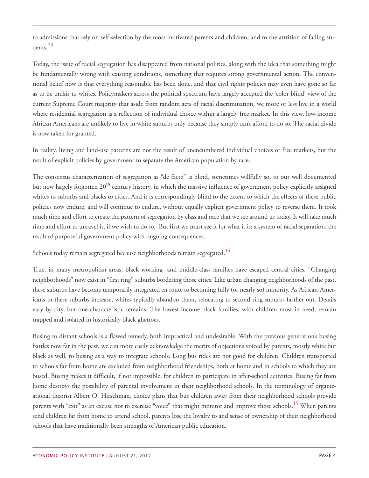<span id="page-3-0"></span>to admissions that rely on self-selection by the most motivated parents and children, and to the attrition of failing students. **[13](#page-21-7)**

Today, the issue of racial segregation has disappeared from national politics, along with the idea that something might be fundamentally wrong with existing conditions, something that requires strong governmental action. The conventional belief now is that everything reasonable has been done, and that civil rights policies may even have gone so far as to be unfair to whites. Policymakers across the political spectrum have largely accepted the 'color blind' view of the current Supreme Court majority that aside from random acts of racial discrimination, we more or less live in a world where residential segregation is a reflection of individual choice within a largely free market. In this view, low-income African Americans are unlikely to live in white suburbs only because they simply can't afford to do so. The racial divide is now taken for granted.

In reality, living and land-use patterns are not the result of unencumbered individual choices or free markets, but the result of explicit policies by government to separate the American population by race.

The consensus characterization of segregation as "de facto" is blind, sometimes willfully so, to our well documented but now largely forgotten 20<sup>th</sup> century history, in which the massive influence of government policy explicitly assigned whites to suburbs and blacks to cities. And it is correspondingly blind to the extent to which the effects of these public policies now endure, and will continue to endure, without equally explicit government policy to reverse them. It took much time and effort to create the pattern of segregation by class and race that we see around us today. It will take much time and effort to unravel it, if we wish to do so. But first we must see it for what it is: a system of racial separation, the result of purposeful government policy with ongoing consequences.

<span id="page-3-1"></span>Schools today remain segregated because neighborhoods remain segregated. **[14](#page-22-0)**

True, in many metropolitan areas, black working- and middle-class families have escaped central cities. "Changing neighborhoods" now exist in "first ring" suburbs bordering those cities. Like urban changing neighborhoods of the past, these suburbs have become temporarily integrated en route to becoming fully (or nearly so) minority. As African-Americans in these suburbs increase, whites typically abandon them, relocating to second ring suburbs farther out. Details vary by city, but one characteristic remains: The lowest-income black families, with children most in need, remain trapped and isolated in historically black ghettoes.

<span id="page-3-2"></span>Busing to distant schools is a flawed remedy, both impractical and undesirable. With the previous generation's busing battles now far in the past, we can more easily acknowledge the merits of objections voiced by parents, mostly white but black as well, to busing as a way to integrate schools. Long bus rides are not good for children. Children transported to schools far from home are excluded from neighborhood friendships, both at home and in schools to which they are bused. Busing makes it difficult, if not impossible, for children to participate in after-school activities. Busing far from home destroys the possibility of parental involvement in their neighborhood schools. In the terminology of organizational theorist Albert O. Hirschman, choice plans that bus children away from their neighborhood schools provide parents with "exit" as an excuse not to exercise "voice" that might monitor and improve those schools. **[15](#page-22-1)** When parents send children far from home to attend school, parents lose the loyalty to and sense of ownership of their neighborhood schools that have traditionally been strengths of American public education.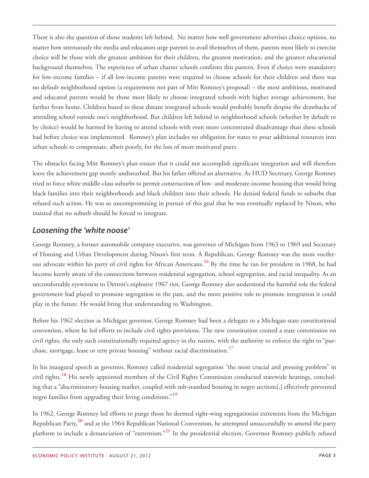There is also the question of those students left behind. No matter how well government advertises choice options, no matter how strenuously the media and educators urge parents to avail themselves of them, parents most likely to exercise choice will be those with the greatest ambition for their children, the greatest motivation, and the greatest educational background themselves. The experience of urban charter schools confirms this pattern. Even if choice were mandatory for low-income families – if all low-income parents were required to choose schools for their children and there was no default neighborhood option (a requirement not part of Mitt Romney's proposal) – the most ambitious, motivated and educated parents would be those most likely to choose integrated schools with higher average achievement, but farther from home. Children bused to these distant integrated schools would probably benefit despite the drawbacks of attending school outside one's neighborhood. But children left behind in neighborhood schools (whether by default or by choice) would be harmed by having to attend schools with even more concentrated disadvantage than these schools had before choice was implemented. Romney's plan includes no obligation for states to pour additional resources into urban schools to compensate, albeit poorly, for the loss of more motivated peers.

The obstacles facing Mitt Romney's plan ensure that it could not accomplish significant integration and will therefore leave the achievement gap mostly undisturbed. But his father offered an alternative. As HUD Secretary, George Romney tried to force white middle-class suburbs to permit construction of low- and moderate-income housing that would bring black families into their neighborhoods and black children into their schools. He denied federal funds to suburbs that refused such action. He was so uncompromising in pursuit of this goal that he was eventually replaced by Nixon, who insisted that no suburb should be forced to integrate.

#### *Loosening the 'white noose'*

<span id="page-4-0"></span>George Romney, a former automobile company executive, was governor of Michigan from 1963 to 1969 and Secretary of Housing and Urban Development during Nixon's first term. A Republican, George Romney was the most vociferous advocate within his party of civil rights for African Americans. **[16](#page-22-2)** By the time he ran for president in 1968, he had become keenly aware of the connections between residential segregation, school segregation, and racial inequality. As an uncomfortable eyewitness to Detroit's explosive 1967 riot, George Romney also understood the harmful role the federal government had played to promote segregation in the past, and the more positive role to promote integration it could play in the future. He would bring that understanding to Washington.

Before his 1962 election as Michigan governor, George Romney had been a delegate to a Michigan state constitutional convention, where he led efforts to include civil rights provisions. The new constitution created a state commission on civil rights, the only such constitutionally required agency in the nation, with the authority to enforce the right to "purchase, mortgage, lease or rent private housing" without racial discrimination. **[17](#page-22-3)**

<span id="page-4-2"></span><span id="page-4-1"></span>In his inaugural speech as governor, Romney called residential segregation "the most crucial and pressing problem" in civil rights. **[18](#page-22-4)** His newly appointed members of the Civil Rights Commission conducted statewide hearings, concluding that a "discriminatory housing market, coupled with sub-standard housing in negro sections[,] effectively prevented negro families from upgrading their living conditions." **[19](#page-22-5)**

<span id="page-4-5"></span><span id="page-4-4"></span><span id="page-4-3"></span>In 1962, George Romney led efforts to purge those he deemed right-wing segregationist extremists from the Michigan Republican Party, **[20](#page-22-6)** and at the 1964 Republican National Convention, he attempted unsuccessfully to amend the party platform to include a denunciation of "extremism." **[21](#page-22-7)** In the presidential election, Governor Romney publicly refused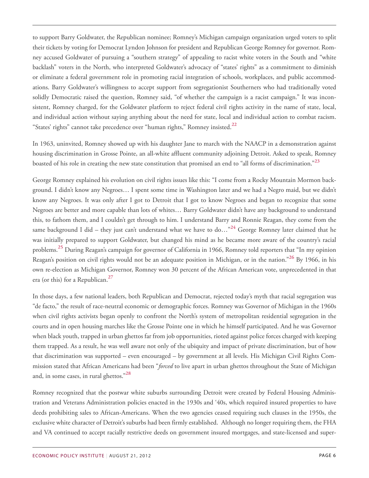to support Barry Goldwater, the Republican nominee; Romney's Michigan campaign organization urged voters to split their tickets by voting for Democrat Lyndon Johnson for president and Republican George Romney for governor. Romney accused Goldwater of pursuing a "southern strategy" of appealing to racist white voters in the South and "white backlash" voters in the North, who interpreted Goldwater's advocacy of "states' rights" as a commitment to diminish or eliminate a federal government role in promoting racial integration of schools, workplaces, and public accommodations. Barry Goldwater's willingness to accept support from segregationist Southerners who had traditionally voted solidly Democratic raised the question, Romney said, "of whether the campaign is a racist campaign." It was inconsistent, Romney charged, for the Goldwater platform to reject federal civil rights activity in the name of state, local, and individual action without saying anything about the need for state, local and individual action to combat racism. "States' rights" cannot take precedence over "human rights," Romney insisted. **[22](#page-22-8)**

<span id="page-5-1"></span><span id="page-5-0"></span>In 1963, uninvited, Romney showed up with his daughter Jane to march with the NAACP in a demonstration against housing discrimination in Grosse Pointe, an all-white affluent community adjoining Detroit. Asked to speak, Romney boasted of his role in creating the new state constitution that promised an end to "all forms of discrimination." **[23](#page-22-9)**

<span id="page-5-2"></span>George Romney explained his evolution on civil rights issues like this: "I come from a Rocky Mountain Mormon background. I didn't know any Negroes… I spent some time in Washington later and we had a Negro maid, but we didn't know any Negroes. It was only after I got to Detroit that I got to know Negroes and began to recognize that some Negroes are better and more capable than lots of whites… Barry Goldwater didn't have any background to understand this, to fathom them, and I couldn't get through to him. I understand Barry and Ronnie Reagan, they come from the same background I did – they just can't understand what we have to do…"**[24](#page-22-10)** George Romney later claimed that he was initially prepared to support Goldwater, but changed his mind as he became more aware of the country's racial problems. **[25](#page-22-11)** During Reagan's campaign for governor of California in 1966, Romney told reporters that "In my opinion Reagan's position on civil rights would not be an adequate position in Michigan, or in the nation." **[26](#page-22-12)** By 1966, in his own re-election as Michigan Governor, Romney won 30 percent of the African American vote, unprecedented in that era (or this) for a Republican. **[27](#page-22-13)**

<span id="page-5-5"></span><span id="page-5-4"></span><span id="page-5-3"></span>In those days, a few national leaders, both Republican and Democrat, rejected today's myth that racial segregation was "de facto," the result of race-neutral economic or demographic forces. Romney was Governor of Michigan in the 1960s when civil rights activists began openly to confront the North's system of metropolitan residential segregation in the courts and in open housing marches like the Grosse Pointe one in which he himself participated. And he was Governor when black youth, trapped in urban ghettos far from job opportunities, rioted against police forces charged with keeping them trapped. As a result, he was well aware not only of the ubiquity and impact of private discrimination, but of how that discrimination was supported – even encouraged – by government at all levels. His Michigan Civil Rights Commission stated that African Americans had been "*forced* to live apart in urban ghettos throughout the State of Michigan and, in some cases, in rural ghettos." **[28](#page-22-14)**

<span id="page-5-6"></span>Romney recognized that the postwar white suburbs surrounding Detroit were created by Federal Housing Administration and Veterans Administration policies enacted in the 1930s and '40s, which required insured properties to have deeds prohibiting sales to African-Americans. When the two agencies ceased requiring such clauses in the 1950s, the exclusive white character of Detroit's suburbs had been firmly established. Although no longer requiring them, the FHA and VA continued to accept racially restrictive deeds on government insured mortgages, and state-licensed and super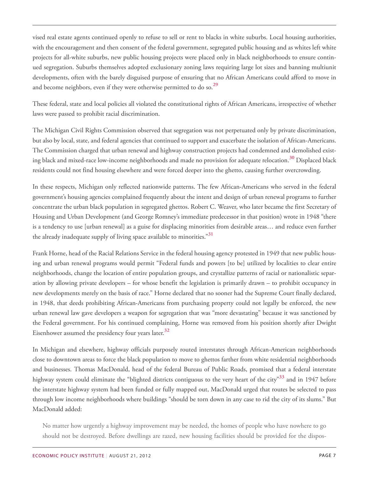vised real estate agents continued openly to refuse to sell or rent to blacks in white suburbs. Local housing authorities, with the encouragement and then consent of the federal government, segregated public housing and as whites left white projects for all-white suburbs, new public housing projects were placed only in black neighborhoods to ensure continued segregation. Suburbs themselves adopted exclusionary zoning laws requiring large lot sizes and banning multiunit developments, often with the barely disguised purpose of ensuring that no African Americans could afford to move in and become neighbors, even if they were otherwise permitted to do so. **[29](#page-22-15)**

<span id="page-6-0"></span>These federal, state and local policies all violated the constitutional rights of African Americans, irrespective of whether laws were passed to prohibit racial discrimination.

<span id="page-6-1"></span>The Michigan Civil Rights Commission observed that segregation was not perpetuated only by private discrimination, but also by local, state, and federal agencies that continued to support and exacerbate the isolation of African-Americans. The Commission charged that urban renewal and highway construction projects had condemned and demolished existing black and mixed-race low-income neighborhoods and made no provision for adequate relocation. **[30](#page-23-0)** Displaced black residents could not find housing elsewhere and were forced deeper into the ghetto, causing further overcrowding.

In these respects, Michigan only reflected nationwide patterns. The few African-Americans who served in the federal government's housing agencies complained frequently about the intent and design of urban renewal programs to further concentrate the urban black population in segregated ghettos. Robert C. Weaver, who later became the first Secretary of Housing and Urban Development (and George Romney's immediate predecessor in that position) wrote in 1948 "there is a tendency to use [urban renewal] as a guise for displacing minorities from desirable areas… and reduce even further the already inadequate supply of living space available to minorities." **[31](#page-23-1)**

<span id="page-6-2"></span>Frank Horne, head of the Racial Relations Service in the federal housing agency protested in 1949 that new public housing and urban renewal programs would permit "Federal funds and powers [to be] utilized by localities to clear entire neighborhoods, change the location of entire population groups, and crystallize patterns of racial or nationalistic separation by allowing private developers – for whose benefit the legislation is primarily drawn – to prohibit occupancy in new developments merely on the basis of race." Horne declared that no sooner had the Supreme Court finally declared, in 1948, that deeds prohibiting African-Americans from purchasing property could not legally be enforced, the new urban renewal law gave developers a weapon for segregation that was "more devastating" because it was sanctioned by the Federal government. For his continued complaining, Horne was removed from his position shortly after Dwight Eisenhower assumed the presidency four years later. **[32](#page-23-2)**

<span id="page-6-4"></span><span id="page-6-3"></span>In Michigan and elsewhere, highway officials purposely routed interstates through African-American neighborhoods close to downtown areas to force the black population to move to ghettos farther from white residential neighborhoods and businesses. Thomas MacDonald, head of the federal Bureau of Public Roads, promised that a federal interstate highway system could eliminate the "blighted districts contiguous to the very heart of the city" **[33](#page-23-3)** and in 1947 before the interstate highway system had been funded or fully mapped out, MacDonald urged that routes be selected to pass through low income neighborhoods where buildings "should be torn down in any case to rid the city of its slums." But MacDonald added:

No matter how urgently a highway improvement may be needed, the homes of people who have nowhere to go should not be destroyed. Before dwellings are razed, new housing facilities should be provided for the dispos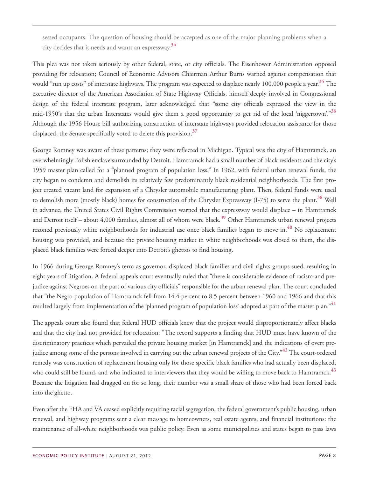sessed occupants. The question of housing should be accepted as one of the major planning problems when a city decides that it needs and wants an expressway. **[34](#page-23-4)**

<span id="page-7-1"></span><span id="page-7-0"></span>This plea was not taken seriously by other federal, state, or city officials. The Eisenhower Administration opposed providing for relocation; Council of Economic Advisors Chairman Arthur Burns warned against compensation that would "run up costs" of interstate highways. The program was expected to displace nearly 100,000 people a year. **[35](#page-23-5)** The executive director of the American Association of State Highway Officials, himself deeply involved in Congressional design of the federal interstate program, later acknowledged that "some city officials expressed the view in the mid-1950′s that the urban Interstates would give them a good opportunity to get rid of the local 'niggertown'." **[36](#page-23-6)** Although the 1956 House bill authorizing construction of interstate highways provided relocation assistance for those displaced, the Senate specifically voted to delete this provision. **[37](#page-23-7)**

<span id="page-7-4"></span><span id="page-7-3"></span><span id="page-7-2"></span>George Romney was aware of these patterns; they were reflected in Michigan. Typical was the city of Hamtramck, an overwhelmingly Polish enclave surrounded by Detroit. Hamtramck had a small number of black residents and the city's 1959 master plan called for a "planned program of population loss." In 1962, with federal urban renewal funds, the city began to condemn and demolish its relatively few predominantly black residential neighborhoods. The first project created vacant land for expansion of a Chrysler automobile manufacturing plant. Then, federal funds were used to demolish more (mostly black) homes for construction of the Chrysler Expressway (I-75) to serve the plant. **[38](#page-23-8)** Well in advance, the United States Civil Rights Commission warned that the expressway would displace – in Hamtramck and Detroit itself – about 4,000 families, almost all of whom were black. **[39](#page-23-9)** Other Hamtramck urban renewal projects rezoned previously white neighborhoods for industrial use once black families began to move in. **[40](#page-23-10)** No replacement housing was provided, and because the private housing market in white neighborhoods was closed to them, the displaced black families were forced deeper into Detroit's ghettos to find housing.

<span id="page-7-6"></span><span id="page-7-5"></span>In 1966 during George Romney's term as governor, displaced black families and civil rights groups sued, resulting in eight years of litigation. A federal appeals court eventually ruled that "there is considerable evidence of racism and prejudice against Negroes on the part of various city officials" responsible for the urban renewal plan. The court concluded that "the Negro population of Hamtramck fell from 14.4 percent to 8.5 percent between 1960 and 1966 and that this resulted largely from implementation of the 'planned program of population loss' adopted as part of the master plan." **[41](#page-23-11)**

<span id="page-7-8"></span><span id="page-7-7"></span>The appeals court also found that federal HUD officials knew that the project would disproportionately affect blacks and that the city had not provided for relocation: "The record supports a finding that HUD must have known of the discriminatory practices which pervaded the private housing market [in Hamtramck] and the indications of overt prejudice among some of the persons involved in carrying out the urban renewal projects of the City." **[42](#page-23-12)** The court-ordered remedy was construction of replacement housing only for those specific black families who had actually been displaced, who could still be found, and who indicated to interviewers that they would be willing to move back to Hamtramck. **[43](#page-23-13)** Because the litigation had dragged on for so long, their number was a small share of those who had been forced back into the ghetto.

<span id="page-7-9"></span>Even after the FHA and VA ceased explicitly requiring racial segregation, the federal government's public housing, urban renewal, and highway programs sent a clear message to homeowners, real estate agents, and financial institutions: the maintenance of all-white neighborhoods was public policy. Even as some municipalities and states began to pass laws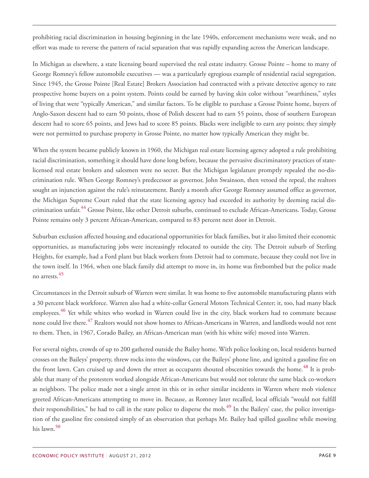prohibiting racial discrimination in housing beginning in the late 1940s, enforcement mechanisms were weak, and no effort was made to reverse the pattern of racial separation that was rapidly expanding across the American landscape.

In Michigan as elsewhere, a state licensing board supervised the real estate industry. Grosse Pointe – home to many of George Romney's fellow automobile executives — was a particularly egregious example of residential racial segregation. Since 1945, the Grosse Pointe [Real Estate] Brokers Association had contracted with a private detective agency to rate prospective home buyers on a point system. Points could be earned by having skin color without "swarthiness," styles of living that were "typically American," and similar factors. To be eligible to purchase a Grosse Pointe home, buyers of Anglo-Saxon descent had to earn 50 points, those of Polish descent had to earn 55 points, those of southern European descent had to score 65 points, and Jews had to score 85 points. Blacks were ineligible to earn any points; they simply were not permitted to purchase property in Grosse Pointe, no matter how typically American they might be.

When the system became publicly known in 1960, the Michigan real estate licensing agency adopted a rule prohibiting racial discrimination, something it should have done long before, because the pervasive discriminatory practices of statelicensed real estate brokers and salesmen were no secret. But the Michigan legislature promptly repealed the no-discrimination rule. When George Romney's predecessor as governor, John Swainson, then vetoed the repeal, the realtors sought an injunction against the rule's reinstatement. Barely a month after George Romney assumed office as governor, the Michigan Supreme Court ruled that the state licensing agency had exceeded its authority by deeming racial discrimination unfair. **[44](#page-24-0)** Grosse Pointe, like other Detroit suburbs, continued to exclude African-Americans. Today, Grosse Pointe remains only 3 percent African-American, compared to 83 percent next door in Detroit.

<span id="page-8-0"></span>Suburban exclusion affected housing and educational opportunities for black families, but it also limited their economic opportunities, as manufacturing jobs were increasingly relocated to outside the city. The Detroit suburb of Sterling Heights, for example, had a Ford plant but black workers from Detroit had to commute, because they could not live in the town itself. In 1964, when one black family did attempt to move in, its home was firebombed but the police made no arrests. **[45](#page-24-1)**

<span id="page-8-3"></span><span id="page-8-2"></span><span id="page-8-1"></span>Circumstances in the Detroit suburb of Warren were similar. It was home to five automobile manufacturing plants with a 30 percent black workforce. Warren also had a white-collar General Motors Technical Center; it, too, had many black employees. **[46](#page-24-2)** Yet while whites who worked in Warren could live in the city, black workers had to commute because none could live there. **[47](#page-24-3)** Realtors would not show homes to African-Americans in Warren, and landlords would not rent to them. Then, in 1967, Corado Bailey, an African-American man (with his white wife) moved into Warren.

<span id="page-8-6"></span><span id="page-8-5"></span><span id="page-8-4"></span>For several nights, crowds of up to 200 gathered outside the Bailey home. With police looking on, local residents burned crosses on the Baileys' property, threw rocks into the windows, cut the Baileys' phone line, and ignited a gasoline fire on the front lawn. Cars cruised up and down the street as occupants shouted obscenities towards the home.<sup>[48](#page-24-4)</sup> It is probable that many of the protesters worked alongside African-Americans but would not tolerate the same black co-workers as neighbors. The police made not a single arrest in this or in other similar incidents in Warren where mob violence greeted African-Americans attempting to move in. Because, as Romney later recalled, local officials "would not fulfill their responsibilities," he had to call in the state police to disperse the mob. **[49](#page-24-5)** In the Baileys' case, the police investigation of the gasoline fire consisted simply of an observation that perhaps Mr. Bailey had spilled gasoline while mowing his lawn. **[50](#page-24-6)**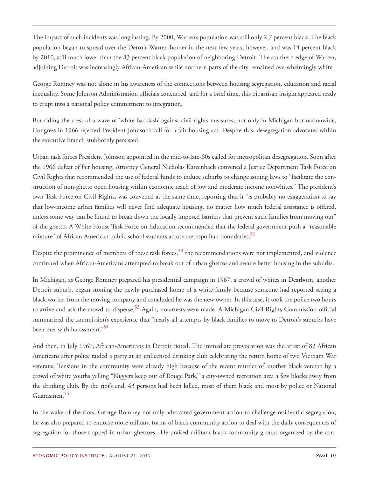The impact of such incidents was long lasting. By 2000, Warren's population was still only 2.7 percent black. The black population began to spread over the Detroit-Warren border in the next few years, however, and was 14 percent black by 2010, still much lower than the 83 percent black population of neighboring Detroit. The southern edge of Warren, adjoining Detroit was increasingly African-American while northern parts of the city remained overwhelmingly white.

George Romney was not alone in his awareness of the connections between housing segregation, education and racial inequality. Some Johnson Administration officials concurred, and for a brief time, this bipartisan insight appeared ready to erupt into a national policy commitment to integration.

But riding the crest of a wave of 'white backlash' against civil rights measures, not only in Michigan but nationwide, Congress in 1966 rejected President Johnson's call for a fair housing act. Despite this, desegregation advocates within the executive branch stubbornly persisted.

Urban task forces President Johnson appointed in the mid-to-late-60s called for metropolitan desegregation. Soon after the 1966 defeat of fair housing, Attorney General Nicholas Katzenbach convened a Justice Department Task Force on Civil Rights that recommended the use of federal funds to induce suburbs to change zoning laws to "facilitate the construction of non-ghetto open housing within economic reach of low and moderate income nonwhites." The president's own Task Force on Civil Rights, was convened at the same time, reporting that it "is probably no exaggeration to say that low-income urban families will never find adequate housing, no matter how much federal assistance is offered, unless some way can be found to break down the locally imposed barriers that prevent such families from moving out" of the ghetto. A White House Task Force on Education recommended that the federal government push a "reasonable mixture" of African American public school students across metropolitan boundaries. **[51](#page-24-7)**

<span id="page-9-1"></span><span id="page-9-0"></span>Despite the prominence of members of these task forces, **[52](#page-24-8)** the recommendations were not implemented, and violence continued when African-Americans attempted to break out of urban ghettos and secure better housing in the suburbs.

<span id="page-9-2"></span>In Michigan, as George Romney prepared his presidential campaign in 1967, a crowd of whites in Dearborn, another Detroit suburb, began stoning the newly purchased home of a white family because someone had reported seeing a black worker from the moving company and concluded he was the new owner. In this case, it took the police two hours to arrive and ask the crowd to disperse. **[53](#page-24-9)** Again, no arrests were made. A Michigan Civil Rights Commission official summarized the commission's experience that "nearly all attempts by black families to move to Detroit's suburbs have been met with harassment." **[54](#page-24-10)**

<span id="page-9-3"></span>And then, in July 1967, African-Americans in Detroit rioted. The immediate provocation was the arrest of 82 African Americans after police raided a party at an unlicensed drinking club celebrating the return home of two Vietnam War veterans. Tensions in the community were already high because of the recent murder of another black veteran by a crowd of white youths yelling "Niggers keep out of Rouge Park," a city-owned recreation area a few blocks away from the drinking club. By the riot's end, 43 persons had been killed, most of them black and most by police or National Guardsmen. **[55](#page-24-11)**

<span id="page-9-4"></span>In the wake of the riots, George Romney not only advocated government action to challenge residential segregation; he was also prepared to endorse more militant forms of black community action to deal with the daily consequences of segregation for those trapped in urban ghettoes. He praised militant black community groups organized by the con-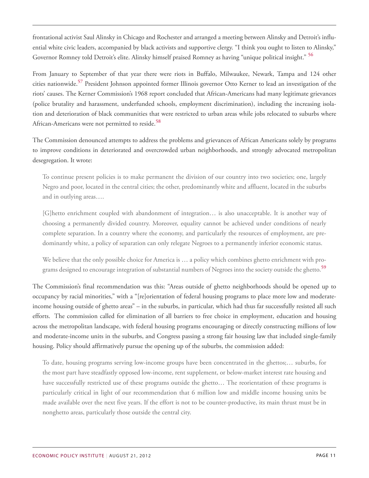<span id="page-10-0"></span>frontational activist Saul Alinsky in Chicago and Rochester and arranged a meeting between Alinsky and Detroit's influential white civic leaders, accompanied by black activists and supportive clergy. "I think you ought to listen to Alinsky," Governor Romney told Detroit's elite. Alinsky himself praised Romney as having "unique political insight." **[56](#page-25-0)**

<span id="page-10-1"></span>From January to September of that year there were riots in Buffalo, Milwaukee, Newark, Tampa and 124 other cities nationwide. **[57](#page-25-1)** President Johnson appointed former Illinois governor Otto Kerner to lead an investigation of the riots' causes. The Kerner Commission's 1968 report concluded that African-Americans had many legitimate grievances (police brutality and harassment, underfunded schools, employment discrimination), including the increasing isolation and deterioration of black communities that were restricted to urban areas while jobs relocated to suburbs where African-Americans were not permitted to reside. **[58](#page-25-2)**

<span id="page-10-2"></span>The Commission denounced attempts to address the problems and grievances of African Americans solely by programs to improve conditions in deteriorated and overcrowded urban neighborhoods, and strongly advocated metropolitan desegregation. It wrote:

To continue present policies is to make permanent the division of our country into two societies; one, largely Negro and poor, located in the central cities; the other, predominantly white and affluent, located in the suburbs and in outlying areas….

[G]hetto enrichment coupled with abandonment of integration… is also unacceptable. It is another way of choosing a permanently divided country. Moreover, equality cannot be achieved under conditions of nearly complete separation. In a country where the economy, and particularly the resources of employment, are predominantly white, a policy of separation can only relegate Negroes to a permanently inferior economic status.

We believe that the only possible choice for America is … a policy which combines ghetto enrichment with programs designed to encourage integration of substantial numbers of Negroes into the society outside the ghetto. **[59](#page-25-3)**

<span id="page-10-3"></span>The Commission's final recommendation was this: "Areas outside of ghetto neighborhoods should be opened up to occupancy by racial minorities," with a "[re]orientation of federal housing programs to place more low and moderateincome housing outside of ghetto areas" – in the suburbs, in particular, which had thus far successfully resisted all such efforts. The commission called for elimination of all barriers to free choice in employment, education and housing across the metropolitan landscape, with federal housing programs encouraging or directly constructing millions of low and moderate-income units in the suburbs, and Congress passing a strong fair housing law that included single-family housing. Policy should affirmatively pursue the opening up of the suburbs, the commission added:

To date, housing programs serving low-income groups have been concentrated in the ghettos;… suburbs, for the most part have steadfastly opposed low-income, rent supplement, or below-market interest rate housing and have successfully restricted use of these programs outside the ghetto… The reorientation of these programs is particularly critical in light of our recommendation that 6 million low and middle income housing units be made available over the next five years. If the effort is not to be counter-productive, its main thrust must be in nonghetto areas, particularly those outside the central city.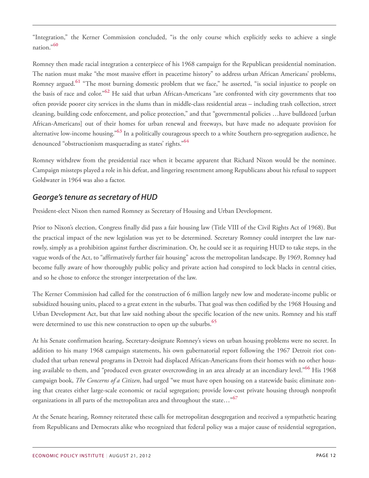<span id="page-11-0"></span>"Integration," the Kerner Commission concluded, "is the only course which explicitly seeks to achieve a single nation." **[60](#page-25-4)**

<span id="page-11-2"></span><span id="page-11-1"></span>Romney then made racial integration a centerpiece of his 1968 campaign for the Republican presidential nomination. The nation must make "the most massive effort in peacetime history" to address urban African Americans' problems, Romney argued. **[61](#page-25-5)** "The most burning domestic problem that we face," he asserted, "is social injustice to people on the basis of race and color." **[62](#page-25-6)** He said that urban African-Americans "are confronted with city governments that too often provide poorer city services in the slums than in middle-class residential areas – including trash collection, street cleaning, building code enforcement, and police protection," and that "governmental policies …have bulldozed [urban African-Americans] out of their homes for urban renewal and freeways, but have made no adequate provision for alternative low-income housing." **[63](#page-25-7)** In a politically courageous speech to a white Southern pro-segregation audience, he denounced "obstructionism masquerading as states' rights." **[64](#page-25-8)**

<span id="page-11-4"></span><span id="page-11-3"></span>Romney withdrew from the presidential race when it became apparent that Richard Nixon would be the nominee. Campaign missteps played a role in his defeat, and lingering resentment among Republicans about his refusal to support Goldwater in 1964 was also a factor.

#### *George's tenure as secretary of HUD*

President-elect Nixon then named Romney as Secretary of Housing and Urban Development.

Prior to Nixon's election, Congress finally did pass a fair housing law (Title VIII of the Civil Rights Act of 1968). But the practical impact of the new legislation was yet to be determined. Secretary Romney could interpret the law narrowly, simply as a prohibition against further discrimination. Or, he could see it as requiring HUD to take steps, in the vague words of the Act, to "affirmatively further fair housing" across the metropolitan landscape. By 1969, Romney had become fully aware of how thoroughly public policy and private action had conspired to lock blacks in central cities, and so he chose to enforce the stronger interpretation of the law.

The Kerner Commission had called for the construction of 6 million largely new low and moderate-income public or subsidized housing units, placed to a great extent in the suburbs. That goal was then codified by the 1968 Housing and Urban Development Act, but that law said nothing about the specific location of the new units. Romney and his staff were determined to use this new construction to open up the suburbs. **[65](#page-25-9)**

<span id="page-11-6"></span><span id="page-11-5"></span>At his Senate confirmation hearing, Secretary-designate Romney's views on urban housing problems were no secret. In addition to his many 1968 campaign statements, his own gubernatorial report following the 1967 Detroit riot concluded that urban renewal programs in Detroit had displaced African-Americans from their homes with no other housing available to them, and "produced even greater overcrowding in an area already at an incendiary level." **[66](#page-25-10)** His 1968 campaign book, *The Concerns of a Citizen*, had urged "we must have open housing on a statewide basis; eliminate zoning that creates either large-scale economic or racial segregation; provide low-cost private housing through nonprofit organizations in all parts of the metropolitan area and throughout the state…"**[67](#page-25-11)**

<span id="page-11-7"></span>At the Senate hearing, Romney reiterated these calls for metropolitan desegregation and received a sympathetic hearing from Republicans and Democrats alike who recognized that federal policy was a major cause of residential segregation,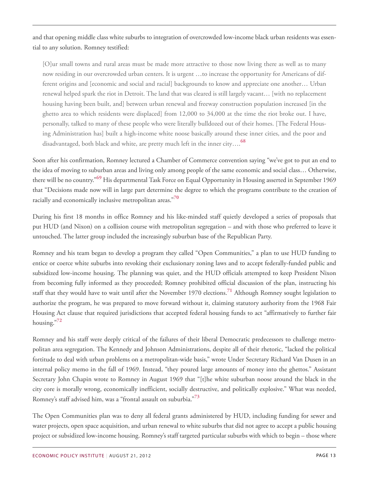and that opening middle class white suburbs to integration of overcrowded low-income black urban residents was essential to any solution. Romney testified:

[O]ur small towns and rural areas must be made more attractive to those now living there as well as to many now residing in our overcrowded urban centers. It is urgent …to increase the opportunity for Americans of different origins and [economic and social and racial] backgrounds to know and appreciate one another… Urban renewal helped spark the riot in Detroit. The land that was cleared is still largely vacant… [with no replacement housing having been built, and] between urban renewal and freeway construction population increased [in the ghetto area to which residents were displaced] from 12,000 to 34,000 at the time the riot broke out. I have, personally, talked to many of these people who were literally bulldozed out of their homes. [The Federal Housing Administration has] built a high-income white noose basically around these inner cities, and the poor and disadvantaged, both black and white, are pretty much left in the inner city…. **[68](#page-25-12)**

<span id="page-12-1"></span><span id="page-12-0"></span>Soon after his confirmation, Romney lectured a Chamber of Commerce convention saying "we've got to put an end to the idea of moving to suburban areas and living only among people of the same economic and social class… Otherwise, there will be no country." **[69](#page-25-13)** His departmental Task Force on Equal Opportunity in Housing asserted in September 1969 that "Decisions made now will in large part determine the degree to which the programs contribute to the creation of racially and economically inclusive metropolitan areas." **[70](#page-25-14)**

<span id="page-12-2"></span>During his first 18 months in office Romney and his like-minded staff quietly developed a series of proposals that put HUD (and Nixon) on a collision course with metropolitan segregation – and with those who preferred to leave it untouched. The latter group included the increasingly suburban base of the Republican Party.

<span id="page-12-3"></span>Romney and his team began to develop a program they called "Open Communities," a plan to use HUD funding to entice or coerce white suburbs into revoking their exclusionary zoning laws and to accept federally-funded public and subsidized low-income housing. The planning was quiet, and the HUD officials attempted to keep President Nixon from becoming fully informed as they proceeded; Romney prohibited official discussion of the plan, instructing his staff that they would have to wait until after the November 1970 elections. **[71](#page-25-15)** Although Romney sought legislation to authorize the program, he was prepared to move forward without it, claiming statutory authority from the 1968 Fair Housing Act clause that required jurisdictions that accepted federal housing funds to act "affirmatively to further fair housing." **[72](#page-25-16)**

<span id="page-12-4"></span>Romney and his staff were deeply critical of the failures of their liberal Democratic predecessors to challenge metropolitan area segregation. The Kennedy and Johnson Administrations, despite all of their rhetoric, "lacked the political fortitude to deal with urban problems on a metropolitan-wide basis," wrote Under Secretary Richard Van Dusen in an internal policy memo in the fall of 1969. Instead, "they poured large amounts of money into the ghettos." Assistant Secretary John Chapin wrote to Romney in August 1969 that "[t]he white suburban noose around the black in the city core is morally wrong, economically inefficient, socially destructive, and politically explosive." What was needed, Romney's staff advised him, was a "frontal assault on suburbia." **[73](#page-26-0)**

<span id="page-12-5"></span>The Open Communities plan was to deny all federal grants administered by HUD, including funding for sewer and water projects, open space acquisition, and urban renewal to white suburbs that did not agree to accept a public housing project or subsidized low-income housing. Romney's staff targeted particular suburbs with which to begin – those where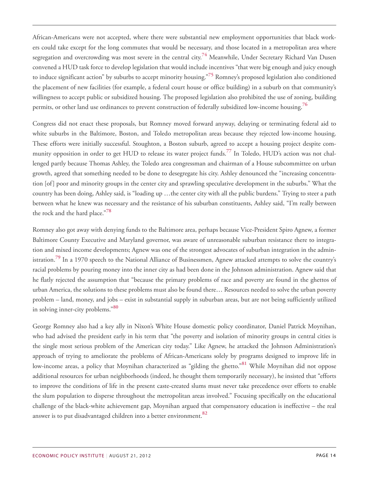<span id="page-13-1"></span><span id="page-13-0"></span>African-Americans were not accepted, where there were substantial new employment opportunities that black workers could take except for the long commutes that would be necessary, and those located in a metropolitan area where segregation and overcrowding was most severe in the central city. **[74](#page-26-1)** Meanwhile, Under Secretary Richard Van Dusen convened a HUD task force to develop legislation that would include incentives "that were big enough and juicy enough to induce significant action" by suburbs to accept minority housing." **[75](#page-26-2)** Romney's proposed legislation also conditioned the placement of new facilities (for example, a federal court house or office building) in a suburb on that community's willingness to accept public or subsidized housing. The proposed legislation also prohibited the use of zoning, building permits, or other land use ordinances to prevent construction of federally subsidized low-income housing. **[76](#page-26-3)**

<span id="page-13-3"></span><span id="page-13-2"></span>Congress did not enact these proposals, but Romney moved forward anyway, delaying or terminating federal aid to white suburbs in the Baltimore, Boston, and Toledo metropolitan areas because they rejected low-income housing. These efforts were initially successful. Stoughton, a Boston suburb, agreed to accept a housing project despite community opposition in order to get HUD to release its water project funds. **[77](#page-26-4)** In Toledo, HUD's action was not challenged partly because Thomas Ashley, the Toledo area congressman and chairman of a House subcommittee on urban growth, agreed that something needed to be done to desegregate his city. Ashley denounced the "increasing concentration [of] poor and minority groups in the center city and sprawling speculative development in the suburbs." What the country has been doing, Ashley said, is "loading up …the center city with all the public burdens." Trying to steer a path between what he knew was necessary and the resistance of his suburban constituents, Ashley said, "I'm really between the rock and the hard place." **[78](#page-26-5)**

<span id="page-13-5"></span><span id="page-13-4"></span>Romney also got away with denying funds to the Baltimore area, perhaps because Vice-President Spiro Agnew, a former Baltimore County Executive and Maryland governor, was aware of unreasonable suburban resistance there to integration and mixed income developments; Agnew was one of the strongest advocates of suburban integration in the administration. **[79](#page-26-6)** In a 1970 speech to the National Alliance of Businessmen, Agnew attacked attempts to solve the country's racial problems by pouring money into the inner city as had been done in the Johnson administration. Agnew said that he flatly rejected the assumption that "because the primary problems of race and poverty are found in the ghettos of urban America, the solutions to these problems must also be found there… Resources needed to solve the urban poverty problem – land, money, and jobs – exist in substantial supply in suburban areas, but are not being sufficiently utilized in solving inner-city problems." **[80](#page-26-7)**

<span id="page-13-8"></span><span id="page-13-7"></span><span id="page-13-6"></span>George Romney also had a key ally in Nixon's White House domestic policy coordinator, Daniel Patrick Moynihan, who had advised the president early in his term that "the poverty and isolation of minority groups in central cities is the single most serious problem of the American city today." Like Agnew, he attacked the Johnson Administration's approach of trying to ameliorate the problems of African-Americans solely by programs designed to improve life in low-income areas, a policy that Moynihan characterized as "gilding the ghetto." **[81](#page-26-8)** While Moynihan did not oppose additional resources for urban neighborhoods (indeed, he thought them temporarily necessary), he insisted that "efforts to improve the conditions of life in the present caste-created slums must never take precedence over efforts to enable the slum population to disperse throughout the metropolitan areas involved." Focusing specifically on the educational challenge of the black-white achievement gap, Moynihan argued that compensatory education is ineffective – the real answer is to put disadvantaged children into a better environment. **[82](#page-26-9)**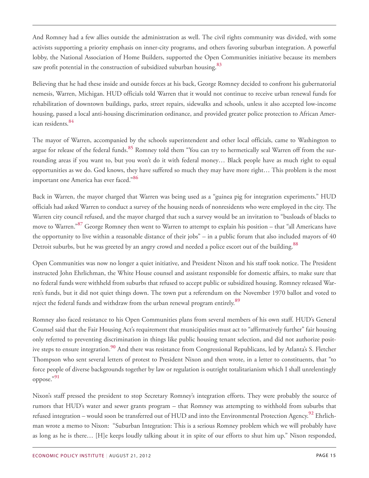And Romney had a few allies outside the administration as well. The civil rights community was divided, with some activists supporting a priority emphasis on inner-city programs, and others favoring suburban integration. A powerful lobby, the National Association of Home Builders, supported the Open Communities initiative because its members saw profit potential in the construction of subsidized suburban housing. **[83](#page-26-10)**

<span id="page-14-0"></span>Believing that he had these inside and outside forces at his back, George Romney decided to confront his gubernatorial nemesis, Warren, Michigan. HUD officials told Warren that it would not continue to receive urban renewal funds for rehabilitation of downtown buildings, parks, street repairs, sidewalks and schools, unless it also accepted low-income housing, passed a local anti-housing discrimination ordinance, and provided greater police protection to African American residents. **[84](#page-26-11)**

<span id="page-14-2"></span><span id="page-14-1"></span>The mayor of Warren, accompanied by the schools superintendent and other local officials, came to Washington to argue for release of the federal funds. **[85](#page-26-12)** Romney told them "You can try to hermetically seal Warren off from the surrounding areas if you want to, but you won't do it with federal money… Black people have as much right to equal opportunities as we do. God knows, they have suffered so much they may have more right… This problem is the most important one America has ever faced." **[86](#page-26-13)**

<span id="page-14-4"></span><span id="page-14-3"></span>Back in Warren, the mayor charged that Warren was being used as a "guinea pig for integration experiments." HUD officials had asked Warren to conduct a survey of the housing needs of nonresidents who were employed in the city. The Warren city council refused, and the mayor charged that such a survey would be an invitation to "busloads of blacks to move to Warren." **[87](#page-26-14)** George Romney then went to Warren to attempt to explain his position – that "all Americans have the opportunity to live within a reasonable distance of their jobs" – in a public forum that also included mayors of 40 Detroit suburbs, but he was greeted by an angry crowd and needed a police escort out of the building. **[88](#page-26-15)**

<span id="page-14-5"></span>Open Communities was now no longer a quiet initiative, and President Nixon and his staff took notice. The President instructed John Ehrlichman, the White House counsel and assistant responsible for domestic affairs, to make sure that no federal funds were withheld from suburbs that refused to accept public or subsidized housing. Romney released Warren's funds, but it did not quiet things down. The town put a referendum on the November 1970 ballot and voted to reject the federal funds and withdraw from the urban renewal program entirely. **[89](#page-26-16)**

<span id="page-14-7"></span><span id="page-14-6"></span>Romney also faced resistance to his Open Communities plans from several members of his own staff. HUD's General Counsel said that the Fair Housing Act's requirement that municipalities must act to "affirmatively further" fair housing only referred to preventing discrimination in things like public housing tenant selection, and did not authorize positive steps to ensure integration. **[90](#page-26-17)** And there was resistance from Congressional Republicans, led by Atlanta's S. Fletcher Thompson who sent several letters of protest to President Nixon and then wrote, in a letter to constituents, that "to force people of diverse backgrounds together by law or regulation is outright totalitarianism which I shall unrelentingly oppose." **[91](#page-26-18)**

<span id="page-14-9"></span><span id="page-14-8"></span>Nixon's staff pressed the president to stop Secretary Romney's integration efforts. They were probably the source of rumors that HUD's water and sewer grants program – that Romney was attempting to withhold from suburbs that refused integration – would soon be transferred out of HUD and into the Environmental Protection Agency. **[92](#page-27-0)** Ehrlichman wrote a memo to Nixon: "Suburban Integration: This is a serious Romney problem which we will probably have as long as he is there… [H]e keeps loudly talking about it in spite of our efforts to shut him up." Nixon responded,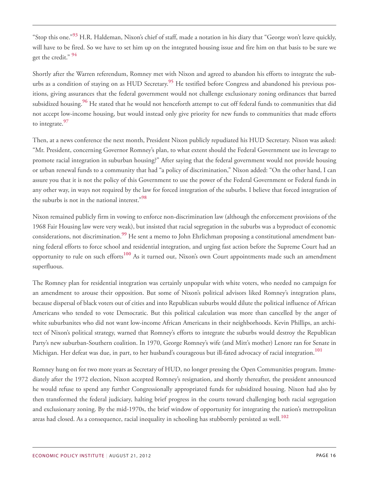<span id="page-15-0"></span>"Stop this one." **[93](#page-27-1)** H.R. Haldeman, Nixon's chief of staff, made a notation in his diary that "George won't leave quickly, will have to be fired. So we have to set him up on the integrated housing issue and fire him on that basis to be sure we get the credit." **[94](#page-27-2)**

<span id="page-15-3"></span><span id="page-15-2"></span><span id="page-15-1"></span>Shortly after the Warren referendum, Romney met with Nixon and agreed to abandon his efforts to integrate the suburbs as a condition of staying on as HUD Secretary. **[95](#page-27-3)** He testified before Congress and abandoned his previous positions, giving assurances that the federal government would not challenge exclusionary zoning ordinances that barred subsidized housing. **[96](#page-27-4)** He stated that he would not henceforth attempt to cut off federal funds to communities that did not accept low-income housing, but would instead only give priority for new funds to communities that made efforts to integrate. **[97](#page-27-5)**

<span id="page-15-4"></span>Then, at a news conference the next month, President Nixon publicly repudiated his HUD Secretary. Nixon was asked: "Mr. President, concerning Governor Romney's plan, to what extent should the Federal Government use its leverage to promote racial integration in suburban housing?" After saying that the federal government would not provide housing or urban renewal funds to a community that had "a policy of discrimination," Nixon added: "On the other hand, I can assure you that it is not the policy of this Government to use the power of the Federal Government or Federal funds in any other way, in ways not required by the law for forced integration of the suburbs. I believe that forced integration of the suburbs is not in the national interest." **[98](#page-27-6)**

<span id="page-15-6"></span><span id="page-15-5"></span>Nixon remained publicly firm in vowing to enforce non-discrimination law (although the enforcement provisions of the 1968 Fair Housing law were very weak), but insisted that racial segregation in the suburbs was a byproduct of economic considerations, not discrimination. **[99](#page-27-7)** He sent a memo to John Ehrlichman proposing a constitutional amendment banning federal efforts to force school and residential integration, and urging fast action before the Supreme Court had an opportunity to rule on such efforts **[100](#page-27-8)** As it turned out, Nixon's own Court appointments made such an amendment superfluous.

<span id="page-15-7"></span>The Romney plan for residential integration was certainly unpopular with white voters, who needed no campaign for an amendment to arouse their opposition. But some of Nixon's political advisors liked Romney's integration plans, because dispersal of black voters out of cities and into Republican suburbs would dilute the political influence of African Americans who tended to vote Democratic. But this political calculation was more than cancelled by the anger of white suburbanites who did not want low-income African Americans in their neighborhoods. Kevin Phillips, an architect of Nixon's political strategy, warned that Romney's efforts to integrate the suburbs would destroy the Republican Party's new suburban-Southern coalition. In 1970, George Romney's wife (and Mitt's mother) Lenore ran for Senate in Michigan. Her defeat was due, in part, to her husband's courageous but ill-fated advocacy of racial integration. **[101](#page-27-9)**

<span id="page-15-9"></span><span id="page-15-8"></span>Romney hung on for two more years as Secretary of HUD, no longer pressing the Open Communities program. Immediately after the 1972 election, Nixon accepted Romney's resignation, and shortly thereafter, the president announced he would refuse to spend any further Congressionally appropriated funds for subsidized housing. Nixon had also by then transformed the federal judiciary, halting brief progress in the courts toward challenging both racial segregation and exclusionary zoning. By the mid-1970s, the brief window of opportunity for integrating the nation's metropolitan areas had closed. As a consequence, racial inequality in schooling has stubbornly persisted as well. **[102](#page-27-10)**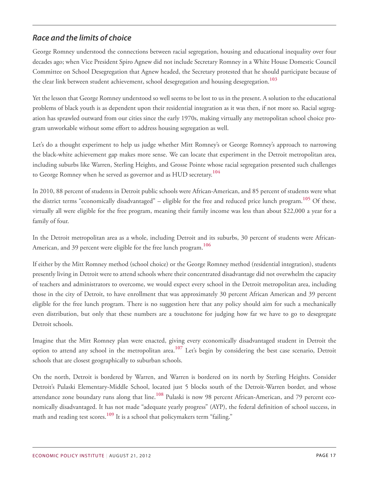#### *Race and the limits of choice*

George Romney understood the connections between racial segregation, housing and educational inequality over four decades ago; when Vice President Spiro Agnew did not include Secretary Romney in a White House Domestic Council Committee on School Desegregation that Agnew headed, the Secretary protested that he should participate because of the clear link between student achievement, school desegregation and housing desegregation. **[103](#page-27-11)**

<span id="page-16-0"></span>Yet the lesson that George Romney understood so well seems to be lost to us in the present. A solution to the educational problems of black youth is as dependent upon their residential integration as it was then, if not more so. Racial segregation has sprawled outward from our cities since the early 1970s, making virtually any metropolitan school choice program unworkable without some effort to address housing segregation as well.

Let's do a thought experiment to help us judge whether Mitt Romney's or George Romney's approach to narrowing the black-white achievement gap makes more sense. We can locate that experiment in the Detroit metropolitan area, including suburbs like Warren, Sterling Heights, and Grosse Pointe whose racial segregation presented such challenges to George Romney when he served as governor and as HUD secretary. **[104](#page-27-12)**

<span id="page-16-2"></span><span id="page-16-1"></span>In 2010, 88 percent of students in Detroit public schools were African-American, and 85 percent of students were what the district terms "economically disadvantaged" – eligible for the free and reduced price lunch program. **[105](#page-27-13)** Of these, virtually all were eligible for the free program, meaning their family income was less than about \$22,000 a year for a family of four.

<span id="page-16-3"></span>In the Detroit metropolitan area as a whole, including Detroit and its suburbs, 30 percent of students were African-American, and 39 percent were eligible for the free lunch program. **[106](#page-27-14)**

If either by the Mitt Romney method (school choice) or the George Romney method (residential integration), students presently living in Detroit were to attend schools where their concentrated disadvantage did not overwhelm the capacity of teachers and administrators to overcome, we would expect every school in the Detroit metropolitan area, including those in the city of Detroit, to have enrollment that was approximately 30 percent African American and 39 percent eligible for the free lunch program. There is no suggestion here that any policy should aim for such a mechanically even distribution, but only that these numbers are a touchstone for judging how far we have to go to desegregate Detroit schools.

<span id="page-16-4"></span>Imagine that the Mitt Romney plan were enacted, giving every economically disadvantaged student in Detroit the option to attend any school in the metropolitan area. **[107](#page-27-15)** Let's begin by considering the best case scenario, Detroit schools that are closest geographically to suburban schools.

<span id="page-16-6"></span><span id="page-16-5"></span>On the north, Detroit is bordered by Warren, and Warren is bordered on its north by Sterling Heights. Consider Detroit's Pulaski Elementary-Middle School, located just 5 blocks south of the Detroit-Warren border, and whose attendance zone boundary runs along that line.<sup>[108](#page-28-0)</sup> Pulaski is now 98 percent African-American, and 79 percent economically disadvantaged. It has not made "adequate yearly progress" (AYP), the federal definition of school success, in math and reading test scores. **[109](#page-28-1)** It is a school that policymakers term "failing."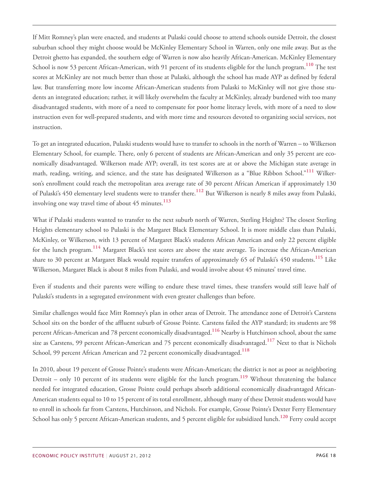<span id="page-17-0"></span>If Mitt Romney's plan were enacted, and students at Pulaski could choose to attend schools outside Detroit, the closest suburban school they might choose would be McKinley Elementary School in Warren, only one mile away. But as the Detroit ghetto has expanded, the southern edge of Warren is now also heavily African-American. McKinley Elementary School is now 53 percent African-American, with 91 percent of its students eligible for the lunch program. **[110](#page-28-2)** The test scores at McKinley are not much better than those at Pulaski, although the school has made AYP as defined by federal law. But transferring more low income African-American students from Pulaski to McKinley will not give those students an integrated education; rather, it will likely overwhelm the faculty at McKinley, already burdened with too many disadvantaged students, with more of a need to compensate for poor home literacy levels, with more of a need to slow instruction even for well-prepared students, and with more time and resources devoted to organizing social services, not instruction.

<span id="page-17-1"></span>To get an integrated education, Pulaski students would have to transfer to schools in the north of Warren – to Wilkerson Elementary School, for example. There, only 6 percent of students are African-American and only 35 percent are economically disadvantaged. Wilkerson made AYP; overall, its test scores are at or above the Michigan state average in math, reading, writing, and science, and the state has designated Wilkerson as a "Blue Ribbon School." **[111](#page-28-3)** Wilkerson's enrollment could reach the metropolitan area average rate of 30 percent African American if approximately 130 of Pulaski's 450 elementary level students were to transfer there. **[112](#page-28-4)** But Wilkerson is nearly 8 miles away from Pulaski, involving one way travel time of about 45 minutes. **[113](#page-28-5)**

<span id="page-17-4"></span><span id="page-17-3"></span><span id="page-17-2"></span>What if Pulaski students wanted to transfer to the next suburb north of Warren, Sterling Heights? The closest Sterling Heights elementary school to Pulaski is the Margaret Black Elementary School. It is more middle class than Pulaski, McKinley, or Wilkerson, with 13 percent of Margaret Black's students African American and only 22 percent eligible for the lunch program. **[114](#page-28-6)** Margaret Black's test scores are above the state average. To increase the African-American share to 30 percent at Margaret Black would require transfers of approximately 65 of Pulaski's 450 students. **[115](#page-28-7)** Like Wilkerson, Margaret Black is about 8 miles from Pulaski, and would involve about 45 minutes' travel time.

<span id="page-17-5"></span>Even if students and their parents were willing to endure these travel times, these transfers would still leave half of Pulaski's students in a segregated environment with even greater challenges than before.

<span id="page-17-7"></span><span id="page-17-6"></span>Similar challenges would face Mitt Romney's plan in other areas of Detroit. The attendance zone of Detroit's Carstens School sits on the border of the affluent suburb of Grosse Pointe. Carstens failed the AYP standard; its students are 98 percent African-American and 78 percent economically disadvantaged. **[116](#page-28-8)** Nearby is Hutchinson school, about the same size as Carstens, 99 percent African-American and 75 percent economically disadvantaged. **[117](#page-28-9)** Next to that is Nichols School, 99 percent African American and 72 percent economically disadvantaged. **[118](#page-28-10)**

<span id="page-17-10"></span><span id="page-17-9"></span><span id="page-17-8"></span>In 2010, about 19 percent of Grosse Pointe's students were African-American; the district is not as poor as neighboring Detroit – only 10 percent of its students were eligible for the lunch program. **[119](#page-28-11)** Without threatening the balance needed for integrated education, Grosse Pointe could perhaps absorb additional economically disadvantaged African-American students equal to 10 to 15 percent of its total enrollment, although many of these Detroit students would have to enroll in schools far from Carstens, Hutchinson, and Nichols. For example, Grosse Pointe's Dexter Ferry Elementary School has only 5 percent African-American students, and 5 percent eligible for subsidized lunch.**[120](#page-28-12)** Ferry could accept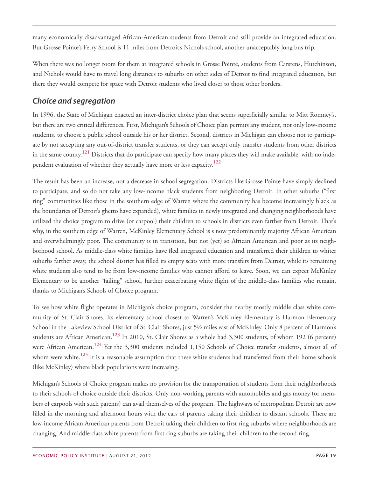many economically disadvantaged African-American students from Detroit and still provide an integrated education. But Grosse Pointe's Ferry School is 11 miles from Detroit's Nichols school, another unacceptably long bus trip.

When there was no longer room for them at integrated schools in Grosse Pointe, students from Carstens, Hutchinson, and Nichols would have to travel long distances to suburbs on other sides of Detroit to find integrated education, but there they would compete for space with Detroit students who lived closer to those other borders.

#### *Choice and segregation*

In 1996, the State of Michigan enacted an inter-district choice plan that seems superficially similar to Mitt Romney's, but there are two critical differences. First, Michigan's Schools of Choice plan permits any student, not only low-income students, to choose a public school outside his or her district. Second, districts in Michigan can choose not to participate by not accepting any out-of-district transfer students, or they can accept only transfer students from other districts in the same county. **[121](#page-28-13)** Districts that do participate can specify how many places they will make available, with no independent evaluation of whether they actually have more or less capacity. **[122](#page-29-0)**

<span id="page-18-1"></span><span id="page-18-0"></span>The result has been an increase, not a decrease in school segregation. Districts like Grosse Pointe have simply declined to participate, and so do not take any low-income black students from neighboring Detroit. In other suburbs ("first ring" communities like those in the southern edge of Warren where the community has become increasingly black as the boundaries of Detroit's ghetto have expanded), white families in newly integrated and changing neighborhoods have utilized the choice program to drive (or carpool) their children to schools in districts even farther from Detroit. That's why, in the southern edge of Warren, McKinley Elementary School is s now predominantly majority African American and overwhelmingly poor. The community is in transition, but not (yet) so African American and poor as its neighborhood school. As middle-class white families have fled integrated education and transferred their children to whiter suburbs farther away, the school district has filled its empty seats with more transfers from Detroit, while its remaining white students also tend to be from low-income families who cannot afford to leave. Soon, we can expect McKinley Elementary to be another "failing" school, further exacerbating white flight of the middle-class families who remain, thanks to Michigan's Schools of Choice program.

<span id="page-18-3"></span><span id="page-18-2"></span>To see how white flight operates in Michigan's choice program, consider the nearby mostly middle class white community of St. Clair Shores. Its elementary school closest to Warren's McKinley Elementary is Harmon Elementary School in the Lakeview School District of St. Clair Shores, just 5½ miles east of McKinley. Only 8 percent of Harmon's students are African American. **[123](#page-29-1)** In 2010, St. Clair Shores as a whole had 3,300 students, of whom 192 (6 percent) were African American. **[124](#page-29-2)** Yet the 3,300 students included 1,150 Schools of Choice transfer students, almost all of whom were white. **[125](#page-29-3)** It is a reasonable assumption that these white students had transferred from their home schools (like McKinley) where black populations were increasing.

<span id="page-18-4"></span>Michigan's Schools of Choice program makes no provision for the transportation of students from their neighborhoods to their schools of choice outside their districts. Only non-working parents with automobiles and gas money (or members of carpools with such parents) can avail themselves of the program. The highways of metropolitan Detroit are now filled in the morning and afternoon hours with the cars of parents taking their children to distant schools. There are low-income African American parents from Detroit taking their children to first ring suburbs where neighborhoods are changing. And middle class white parents from first ring suburbs are taking their children to the second ring.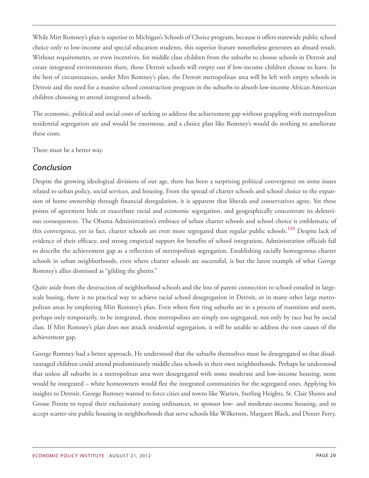While Mitt Romney's plan is superior to Michigan's Schools of Choice program, because it offers statewide public school choice only to low-income and special education students, this superior feature nonetheless generates an absurd result. Without requirements, or even incentives, for middle class children from the suburbs to choose schools in Detroit and create integrated environments there, those Detroit schools will empty out if low-income children choose to leave. In the best of circumstances, under Mitt Romney's plan, the Detroit metropolitan area will be left with empty schools in Detroit and the need for a massive school construction program in the suburbs to absorb low-income African American children choosing to attend integrated schools.

The economic, political and social costs of seeking to address the achievement gap without grappling with metropolitan residential segregation are and would be enormous, and a choice plan like Romney's would do nothing to ameliorate these costs.

There must be a better way.

#### *Conclusion*

<span id="page-19-0"></span>Despite the growing ideological divisions of our age, there has been a surprising political convergence on some issues related to urban policy, social services, and housing. From the spread of charter schools and school choice to the expansion of home ownership through financial deregulation, it is apparent that liberals and conservatives agree. Yet these points of agreement hide or exacerbate racial and economic segregation, and geographically concentrate its deleterious consequences. The Obama Administration's embrace of urban charter schools and school choice is emblematic of this convergence, yet in fact, charter schools are even more segregated than regular public schools. **[126](#page-29-4)** Despite lack of evidence of their efficacy, and strong empirical support for benefits of school integration, Administration officials fail to describe the achievement gap as a reflection of metropolitan segregation. Establishing racially homogenous charter schools in urban neighborhoods, even where charter schools are successful, is but the latest example of what George Romney's allies dismissed as "gilding the ghetto."

Quite aside from the destruction of neighborhood schools and the loss of parent connection to school entailed in largescale busing, there is no practical way to achieve racial school desegregation in Detroit, or in many other large metropolitan areas by employing Mitt Romney's plan. Even where first ring suburbs are in a process of transition and seem, perhaps only temporarily, to be integrated, these metropolises are simply too segregated, not only by race but by social class. If Mitt Romney's plan does not attack residential segregation, it will be unable to address the root causes of the achievement gap.

George Romney had a better approach. He understood that the suburbs themselves must be desegregated so that disadvantaged children could attend predominantly middle class schools in their own neighborhoods. Perhaps he understood that unless all suburbs in a metropolitan area were desegregated with some moderate and low-income housing, none would be integrated – white homeowners would flee the integrated communities for the segregated ones. Applying his insights to Detroit, George Romney wanted to force cities and towns like Warren, Sterling Heights, St. Clair Shores and Grosse Pointe to repeal their exclusionary zoning ordinances, to sponsor low- and moderate-income housing, and to accept scatter-site public housing in neighborhoods that serve schools like Wilkerson, Margaret Black, and Dexter Ferry.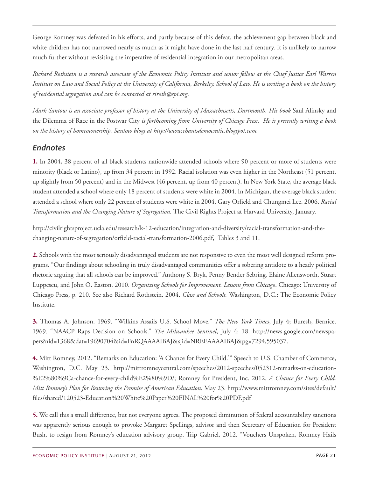George Romney was defeated in his efforts, and partly because of this defeat, the achievement gap between black and white children has not narrowed nearly as much as it might have done in the last half century. It is unlikely to narrow much further without revisiting the imperative of residential integration in our metropolitan areas.

Richard Rothstein is a research associate of the Economic Policy Institute and senior fellow at the Chief Justice Earl Warren Institute on Law and Social Policy at the University of California, Berkeley, School of Law. He is writing a book on the history *of residential segregation and can be contacted at riroth@epi.org.*

Mark Santow is an associate professor of history at the University of Massachusetts, Dartmouth. His book Saul Alinsky and the Dilemma of Race in the Postwar City *is forthcoming from University of Chicago Press. He is presently writing a book on the history of homeownership. Santow blogs at http://www.chantsdemocratic.blogspot.com.*

#### *Endnotes*

<span id="page-20-0"></span>**[1.](#page-0-0)** In 2004, 38 percent of all black students nationwide attended schools where 90 percent or more of students were minority (black or Latino), up from 34 percent in 1992. Racial isolation was even higher in the Northeast (51 percent, up slightly from 50 percent) and in the Midwest (46 percent, up from 40 percent). In New York State, the average black student attended a school where only 18 percent of students were white in 2004. In Michigan, the average black student attended a school where only 22 percent of students were white in 2004. Gary Orfield and Chungmei Lee. 2006. *Racial Transformation and the Changing Nature of Segregation.* The Civil Rights Project at Harvard University, January.

http://civilrightsproject.ucla.edu/research/k-12-education/integration-and-diversity/racial-transformation-and-thechanging-nature-of-segregation/orfield-racial-transformation-2006.pdf, Tables 3 and 11.

<span id="page-20-1"></span>**[2.](#page-0-1)** Schools with the most seriously disadvantaged students are not responsive to even the most well designed reform programs. "Our findings about schooling in truly disadvantaged communities offer a sobering antidote to a heady political rhetoric arguing that all schools can be improved." Anthony S. Bryk, Penny Bender Sebring, Elaine Allensworth, Stuart Luppescu, and John O. Easton. 2010. *Organizing Schools for Improvement. Lessons from Chicago*. Chicago: University of Chicago Press, p. 210. See also Richard Rothstein. 2004. *Class and Schools.* Washington, D.C.: The Economic Policy Institute.

<span id="page-20-2"></span>**[3.](#page-1-0)** Thomas A. Johnson. 1969. "Wilkins Assails U.S. School Move." *The New York Times*, July 4; Buresh, Bernice. 1969. "NAACP Raps Decision on Schools." *The Milwaukee Sentinel*, July 4: 18. http://news.google.com/newspapers?nid=1368&dat=19690704&id=FnRQAAAAIBAJ&sjid=NREEAAAAIBAJ&pg=7294,595037.

<span id="page-20-3"></span>**[4.](#page-1-1)** Mitt Romney, 2012. "Remarks on Education: 'A Chance for Every Child.'" Speech to U.S. Chamber of Commerce, Washington, D.C. May 23. http://mittromneycentral.com/speeches/2012-speeches/052312-remarks-on-education- %E2%80%9Ca-chance-for-every-child%E2%80%9D/; Romney for President, Inc. 2012. *A Chance for Every Child. Mitt Romney's Plan for Restoring the Promise of American Education*. May 23. http://www.mittromney.com/sites/default/ files/shared/120523-Education%20White%20Paper%20FINAL%20for%20PDF.pdf

<span id="page-20-4"></span>**[5.](#page-1-2)** We call this a small difference, but not everyone agrees. The proposed diminution of federal accountability sanctions was apparently serious enough to provoke Margaret Spellings, advisor and then Secretary of Education for President Bush, to resign from Romney's education advisory group. Trip Gabriel, 2012. "Vouchers Unspoken, Romney Hails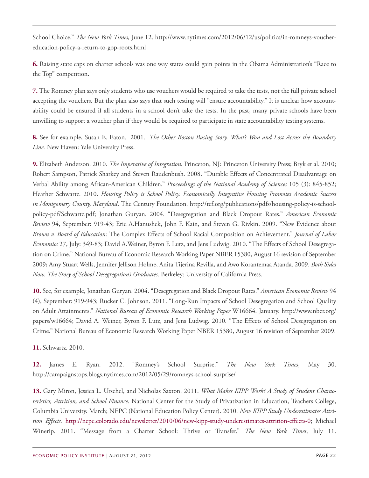School Choice." *The New York Times,* June 12. http://www.nytimes.com/2012/06/12/us/politics/in-romneys-vouchereducation-policy-a-return-to-gop-roots.html

<span id="page-21-0"></span>**[6.](#page-1-3)** Raising state caps on charter schools was one way states could gain points in the Obama Administration's "Race to the Top" competition.

<span id="page-21-1"></span>**[7.](#page-1-4)** The Romney plan says only students who use vouchers would be required to take the tests, not the full private school accepting the vouchers. But the plan also says that such testing will "ensure accountability." It is unclear how accountability could be ensured if all students in a school don't take the tests. In the past, many private schools have been unwilling to support a voucher plan if they would be required to participate in state accountability testing systems.

<span id="page-21-2"></span>**[8.](#page-1-5)** See for example, Susan E. Eaton. 2001. *The Other Boston Busing Story. What's Won and Lost Across the Boundary Line.* New Haven: Yale University Press.

<span id="page-21-3"></span>**[9.](#page-2-0)** Elizabeth Anderson. 2010. *The Imperative of Integration.* Princeton, NJ: Princeton University Press; Bryk et al. 2010; Robert Sampson, Patrick Sharkey and Steven Raudenbush. 2008. "Durable Effects of Concentrated Disadvantage on Verbal Ability among African-American Children." *Proceedings of the National Academy of Sciences* 105 (3): 845-852; Heather Schwartz. 2010. *Housing Policy is School Policy. Economically Integrative Housing Promotes Academic Success in Montgomery County, Maryland*. The Century Foundation. http://tcf.org/publications/pdfs/housing-policy-is-schoolpolicy-pdf/Schwartz.pdf; Jonathan Guryan. 2004. "Desegregation and Black Dropout Rates." *American Economic Review* 94, September: 919‑43; Eric A.Hanushek, John F. Kain, and Steven G. Rivkin. 2009. "New Evidence about *Brown v. Board of Education*: The Complex Effects of School Racial Composition on Achievement." *Journal of Labor Economics* 27, July: 349‑83; David A.Weiner, Byron F. Lutz, and Jens Ludwig. 2010. "The Effects of School Desegregation on Crime." National Bureau of Economic Research Working Paper NBER 15380, August 16 revision of September 2009; Amy Stuart Wells, Jennifer Jellison Holme, Anita Tijerina Revilla, and Awo Korantemaa Atanda. 2009. *Both Sides Now. The Story of School Desegregation's Graduates*. Berkeley: University of California Press.

<span id="page-21-4"></span>**[10.](#page-2-1)** See, for example, Jonathan Guryan. 2004. "Desegregation and Black Dropout Rates." *American Economic Review* 94 (4), September: 919-943; Rucker C. Johnson. 2011. "Long-Run Impacts of School Desegregation and School Quality on Adult Attainments." *National Bureau of Economic Research Working Paper* W16664. January. http://www.nber.org/ papers/w16664; David A. Weiner, Byron F. Lutz, and Jens Ludwig. 2010. "The Effects of School Desegregation on Crime." National Bureau of Economic Research Working Paper NBER 15380, August 16 revision of September 2009.

<span id="page-21-5"></span>**[11.](#page-2-2)** Schwartz. 2010.

<span id="page-21-6"></span>**[12.](#page-2-3)** James E. Ryan. 2012. "Romney's School Surprise." *The New York Times*, May 30. http://campaignstops.blogs.nytimes.com/2012/05/29/romneys-school-surprise/

<span id="page-21-7"></span>**[13.](#page-3-0)** Gary Miron, Jessica L. Urschel, and Nicholas Saxton. 2011. *What Makes KIPP Work? A Study of Student Characteristics, Attrition, and School Finance.* National Center for the Study of Privatization in Education, Teachers College, Columbia University. March; NEPC (National Education Policy Center). 2010. *New KIPP Study Underestimates Attrition Effects.* [http://nepc.colorado.edu/newsletter/2010/06/new-kipp-study-underestimates-attrition-effects-0;](http://nepc.colorado.edu/newsletter/2010/06/new-kipp-study-underestimates-attrition-effects-0) Michael Winerip. 2011. "Message from a Charter School: Thrive or Transfer." *The New York Times*, July 11.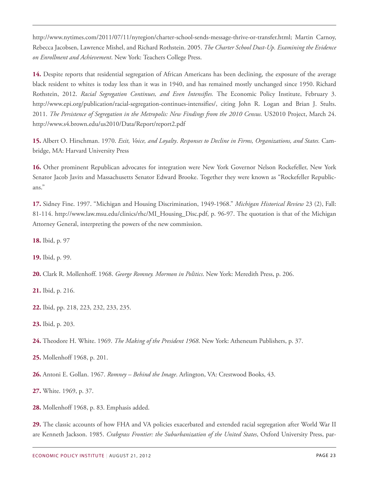http://www.nytimes.com/2011/07/11/nyregion/charter-school-sends-message-thrive-or-transfer.html; Martin Carnoy, Rebecca Jacobsen, Lawrence Mishel, and Richard Rothstein. 2005. *The Charter School Dust-Up. Examining the Evidence on Enrollment and Achievement*. New York: Teachers College Press.

<span id="page-22-0"></span>**[14.](#page-3-1)** Despite reports that residential segregation of African Americans has been declining, the exposure of the average black resident to whites is today less than it was in 1940, and has remained mostly unchanged since 1950. Richard Rothstein, 2012. *Racial Segregation Continues, and Even Intensifies.* The Economic Policy Institute, February 3. http://www.epi.org/publication/racial-segregation-continues-intensifies/, citing John R. Logan and Brian J. Stults. 2011. *The Persistence of Segregation in the Metropolis: New Findings from the 2010 Census.* US2010 Project, March 24. http://www.s4.brown.edu/us2010/Data/Report/report2.pdf

<span id="page-22-1"></span>**[15.](#page-3-2)** Albert O. Hirschman. 1970. *Exit, Voice, and Loyalty*. *Responses to Decline in Firms, Organizations, and States.* Cambridge, MA: Harvard University Press

<span id="page-22-2"></span>**[16.](#page-4-0)** Other prominent Republican advocates for integration were New York Governor Nelson Rockefeller, New York Senator Jacob Javits and Massachusetts Senator Edward Brooke. Together they were known as "Rockefeller Republicans."

<span id="page-22-3"></span>**[17.](#page-4-1)** Sidney Fine. 1997. "Michigan and Housing Discrimination, 1949-1968." *Michigan Historical Review* 23 (2), Fall: 81-114. http://www.law.msu.edu/clinics/rhc/MI\_Housing\_Disc.pdf, p. 96-97. The quotation is that of the Michigan Attorney General, interpreting the powers of the new commission.

<span id="page-22-4"></span>**[18.](#page-4-2)** Ibid, p. 97

<span id="page-22-5"></span>**[19.](#page-4-3)** Ibid, p. 99.

<span id="page-22-6"></span>**[20.](#page-4-4)** Clark R. Mollenhoff. 1968. *George Romney. Mormon in Politics*. New York: Meredith Press, p. 206.

<span id="page-22-7"></span>**[21.](#page-4-5)** Ibid, p. 216.

<span id="page-22-8"></span>**[22.](#page-5-0)** Ibid, pp. 218, 223, 232, 233, 235.

<span id="page-22-9"></span>**[23.](#page-5-1)** Ibid, p. 203.

<span id="page-22-10"></span>**[24.](#page-5-2)** Theodore H. White. 1969. *The Making of the President 1968*. New York: Atheneum Publishers, p. 37.

<span id="page-22-11"></span>**[25.](#page-5-3)** Mollenhoff 1968, p. 201.

<span id="page-22-12"></span>**[26.](#page-5-4)** Antoni E. Gollan. 1967. *Romney – Behind the Image*. Arlington, VA: Crestwood Books, 43.

<span id="page-22-13"></span>**[27.](#page-5-5)** White. 1969, p. 37.

<span id="page-22-14"></span>**[28.](#page-5-6)** Mollenhoff 1968, p. 83. Emphasis added.

<span id="page-22-15"></span>**[29.](#page-6-0)** The classic accounts of how FHA and VA policies exacerbated and extended racial segregation after World War II are Kenneth Jackson. 1985. *Crabgrass Frontier: the Suburbanization of the United States*, Oxford University Press, par-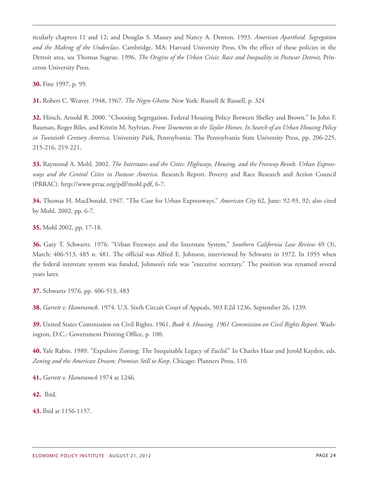ticularly chapters 11 and 12; and Douglas S. Massey and Nancy A. Denton. 1993. *American Apartheid. Segregation and the Making of the Underclass*. Cambridge, MA: Harvard University Press. On the effect of these policies in the Detroit area, see Thomas Sugrue. 1996. *The Origins of the Urban Crisis*: *Race and Inequality in Postwar Detroit,* Princeton University Press.

<span id="page-23-0"></span>**[30.](#page-6-1)** Fine 1997, p. 99.

<span id="page-23-1"></span>**[31.](#page-6-2)** Robert C. Weaver. 1948, 1967. *The Negro Ghetto.* New York: Russell & Russell, p. 324

<span id="page-23-2"></span>**[32.](#page-6-3)** Hirsch, Arnold R. 2000. "Choosing Segregation. Federal Housing Policy Between Shelley and Brown." In John F. Bauman, Roger Biles, and Kristin M. Szylvian. *From Tenements to the Taylor Homes. In Search of an Urban Housing Policy in Twentieth Century America*. University Park, Pennsylvania: The Pennsylvania State University Press, pp. 206-225, 215-216, 219-221.

<span id="page-23-3"></span>**[33.](#page-6-4)** Raymond A. Mohl. 2002. *The Interstates and the Cities: Highways, Housing, and the Freeway Revolt. Urban Expressways and the Central Cities in Postwar America*. Research Report. Poverty and Race Research and Action Council (PRRAC). http://www.prrac.org/pdf/mohl.pdf, 6-7.

<span id="page-23-4"></span>**[34.](#page-7-0)** Thomas H. MacDonald. 1947. "The Case for Urban Expressways." *American City* 62, June: 92-93, 92; also cited by Mohl. 2002, pp. 6-7.

<span id="page-23-5"></span>**[35.](#page-7-1)** Mohl 2002, pp. 17-18.

<span id="page-23-6"></span>**[36.](#page-7-2)** Gary T. Schwartz. 1976. "Urban Freeways and the Interstate System," *Southern California Law Review* 49 (3), March: 406-513, 485 n. 481. The official was Alfred E. Johnson, interviewed by Schwartz in 1972. In 1955 when the federal interstate system was funded, Johnson's title was "executive secretary." The position was renamed several years later.

<span id="page-23-7"></span>**[37.](#page-7-3)** Schwartz 1976, pp. 406-513, 483

<span id="page-23-8"></span>**[38.](#page-7-4)** *Garrett v. Hamtramck*. 1974. U.S. Sixth Circuit Court of Appeals, 503 F.2d 1236, September 26, 1239.

<span id="page-23-9"></span>**[39.](#page-7-5)** United States Commission on Civil Rights. 1961. *Book 4. Housing. 1961 Commission on Civil Rights Report.* Washington, D.C.: Government Printing Office, p. 100.

<span id="page-23-10"></span>**[40.](#page-7-6)** Yale Rabin. 1989. "Expulsive Zoning: The Inequitable Legacy of *Euclid*." In Charles Haar and Jerold Kayden, eds. *Zoning and the American Dream: Promises Still to Keep*. Chicago: Planners Press, 110.

<span id="page-23-11"></span>**[41.](#page-7-7)** *Garrett v. Hamtramck* 1974 at 1246.

<span id="page-23-12"></span>**[42.](#page-7-8)** Ibid.

<span id="page-23-13"></span>**[43.](#page-7-9)** Ibid at 1156-1157.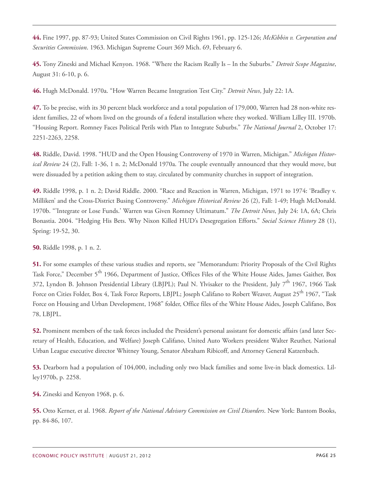<span id="page-24-0"></span>**[44.](#page-8-0)** Fine 1997, pp. 87-93; United States Commission on Civil Rights 1961, pp. 125-126; *McKibbin v. Corporation and Securities Commission*. 1963. Michigan Supreme Court 369 Mich. 69, February 6.

<span id="page-24-1"></span>**[45.](#page-8-1)** Tony Zineski and Michael Kenyon. 1968. "Where the Racism Really Is – In the Suburbs." *Detroit Scope Magazine*, August 31: 6-10, p. 6.

<span id="page-24-2"></span>**[46.](#page-8-2)** Hugh McDonald. 1970a. "How Warren Became Integration Test City." *Detroit News*, July 22: 1A.

<span id="page-24-3"></span>**[47.](#page-8-3)** To be precise, with its 30 percent black workforce and a total population of 179,000, Warren had 28 non-white resident families, 22 of whom lived on the grounds of a federal installation where they worked. William Lilley III. 1970b. "Housing Report. Romney Faces Political Perils with Plan to Integrate Suburbs." *The National Journal* 2, October 17: 2251-2263, 2258.

<span id="page-24-4"></span>**[48.](#page-8-4)** Riddle, David. 1998. "HUD and the Open Housing Controversy of 1970 in Warren, Michigan." *Michigan Historical Review* 24 (2), Fall: 1-36, 1 n. 2; McDonald 1970a. The couple eventually announced that they would move, but were dissuaded by a petition asking them to stay, circulated by community churches in support of integration.

<span id="page-24-5"></span>**[49.](#page-8-5)** Riddle 1998, p. 1 n. 2; David Riddle. 2000. "Race and Reaction in Warren, Michigan, 1971 to 1974: 'Bradley v. Milliken' and the Cross-District Busing Controversy." *Michigan Historical Review* 26 (2), Fall: 1-49; Hugh McDonald. 1970b. "'Integrate or Lose Funds.' Warren was Given Romney Ultimatum." *The Detroit News*, July 24: 1A, 6A; Chris Bonastia. 2004. "Hedging His Bets. Why Nixon Killed HUD's Desegregation Efforts." *Social Science History* 28 (1), Spring: 19-52, 30.

<span id="page-24-6"></span>**[50.](#page-8-6)** Riddle 1998, p. 1 n. 2.

<span id="page-24-7"></span>**[51.](#page-9-0)** For some examples of these various studies and reports, see "Memorandum: Priority Proposals of the Civil Rights Task Force," December 5<sup>th</sup> 1966, Department of Justice, Offices Files of the White House Aides, James Gaither, Box 372, Lyndon B. Johnson Presidential Library (LBJPL); Paul N. Ylvisaker to the President, July 7<sup>th</sup> 1967, 1966 Task Force on Cities Folder, Box 4, Task Force Reports, LBJPL; Joseph Califano to Robert Weaver, August 25<sup>th</sup> 1967, "Task Force on Housing and Urban Development, 1968" folder, Office files of the White House Aides, Joseph Califano, Box 78, LBJPL.

<span id="page-24-8"></span>**[52.](#page-9-1)** Prominent members of the task forces included the President's personal assistant for domestic affairs (and later Secretary of Health, Education, and Welfare) Joseph Califano, United Auto Workers president Walter Reuther, National Urban League executive director Whitney Young, Senator Abraham Ribicoff, and Attorney General Katzenbach.

<span id="page-24-9"></span>**[53.](#page-9-2)** Dearborn had a population of 104,000, including only two black families and some live-in black domestics. Lilley1970b, p. 2258.

<span id="page-24-10"></span>**[54.](#page-9-3)** Zineski and Kenyon 1968, p. 6.

<span id="page-24-11"></span>**[55.](#page-9-4)** Otto Kerner, et al. 1968. *Report of the National Advisory Commission on Civil Disorders*. New York: Bantom Books, pp. 84-86, 107.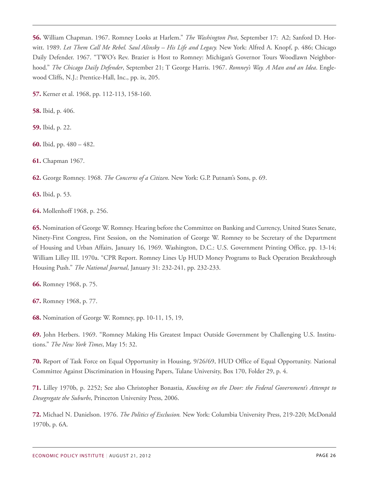<span id="page-25-0"></span>**[56.](#page-10-0)** William Chapman. 1967. Romney Looks at Harlem." *The Washington Post*, September 17: A2; Sanford D. Horwitt. 1989. *Let Them Call Me Rebel. Saul Alinsky – His Life and Legacy.* New York: Alfred A. Knopf, p. 486; Chicago Daily Defender. 1967. "TWO's Rev. Brazier is Host to Romney: Michigan's Governor Tours Woodlawn Neighborhood." *The Chicago Daily Defender*, September 21; T George Harris. 1967. *Romney's Way. A Man and an Idea*. Englewood Cliffs, N.J.: Prentice-Hall, Inc., pp. ix, 205.

<span id="page-25-1"></span>**[57.](#page-10-1)** Kerner et al. 1968, pp. 112-113, 158-160.

<span id="page-25-2"></span>**[58.](#page-10-2)** Ibid, p. 406.

<span id="page-25-3"></span>**[59.](#page-10-3)** Ibid, p. 22.

<span id="page-25-4"></span>**[60.](#page-11-0)** Ibid, pp. 480 – 482.

<span id="page-25-5"></span>**[61.](#page-11-1)** Chapman 1967.

<span id="page-25-6"></span>**[62.](#page-11-2)** George Romney. 1968. *The Concerns of a Citizen*. New York: G.P. Putnam's Sons, p. 69.

<span id="page-25-7"></span>**[63.](#page-11-3)** Ibid, p. 53.

<span id="page-25-8"></span>**[64.](#page-11-4)** Mollenhoff 1968, p. 256.

<span id="page-25-9"></span>**[65.](#page-11-5)** Nomination of George W. Romney. Hearing before the Committee on Banking and Currency, United States Senate, Ninety-First Congress, First Session, on the Nomination of George W. Romney to be Secretary of the Department of Housing and Urban Affairs, January 16, 1969. Washington, D.C.: U.S. Government Printing Office, pp. 13-14; William Lilley III. 1970a. "CPR Report. Romney Lines Up HUD Money Programs to Back Operation Breakthrough Housing Push." *The National Journal*, January 31: 232-241, pp. 232-233.

<span id="page-25-10"></span>**[66.](#page-11-6)** Romney 1968, p. 75.

<span id="page-25-11"></span>**[67.](#page-11-7)** Romney 1968, p. 77.

<span id="page-25-12"></span>**[68.](#page-12-0)** Nomination of George W. Romney, pp. 10-11, 15, 19,

<span id="page-25-13"></span>**[69.](#page-12-1)** John Herbers. 1969. "Romney Making His Greatest Impact Outside Government by Challenging U.S. Institutions." *The New York Times*, May 15: 32.

<span id="page-25-14"></span>**[70.](#page-12-2)** Report of Task Force on Equal Opportunity in Housing, 9/26/69, HUD Office of Equal Opportunity. National Committee Against Discrimination in Housing Papers, Tulane University, Box 170, Folder 29, p. 4.

<span id="page-25-15"></span>**[71.](#page-12-3)** Lilley 1970b, p. 2252; See also Christopher Bonastia, *Knocking on the Door: the Federal Government's Attempt to Desegregate the Suburbs*, Princeton University Press, 2006.

<span id="page-25-16"></span>**[72.](#page-12-4)** Michael N. Danielson. 1976. *The Politics of Exclusion.* New York: Columbia University Press, 219-220; McDonald 1970b, p. 6A.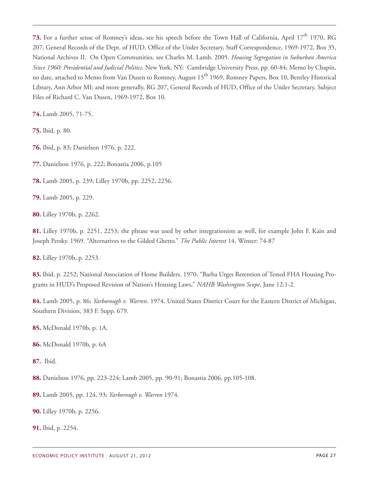<span id="page-26-0"></span>**[73.](#page-12-5)** For a further sense of Romney's ideas, see his speech before the Town Hall of California, April 17<sup>th</sup> 1970, RG 207, General Records of the Dept. of HUD, Office of the Under Secretary, Staff Correspondence, 1969-1972, Box 35, National Archives II. On Open Communities, see Charles M. Lamb. 2005. *Housing Segregation in Suburban America Since 1960: Presidential and Judicial Politics*. New York, NY: Cambridge University Press, pp. 60-84; Memo by Chapin, no date, attached to Memo from Van Dusen to Romney, August 15<sup>th</sup> 1969, Romney Papers, Box 10, Bentley Historical Library, Ann Arbor MI; and more generally, RG 207, General Records of HUD, Office of the Under Secretary, Subject Files of Richard C. Van Dusen, 1969-1972, Box 10.

<span id="page-26-1"></span>**[74.](#page-13-0)** Lamb 2005, 71-75.

<span id="page-26-2"></span>**[75.](#page-13-1)** Ibid, p. 80.

<span id="page-26-3"></span>**[76.](#page-13-2)** Ibid, p. 83; Danielson 1976, p. 222.

<span id="page-26-4"></span>**[77.](#page-13-3)** Danielson 1976, p. 222; Bonastia 2006, p.105

<span id="page-26-5"></span>**[78.](#page-13-4)** Lamb 2005, p. 239; Lilley 1970b, pp. 2252, 2256.

<span id="page-26-6"></span>**[79.](#page-13-5)** Lamb 2005, p. 229.

<span id="page-26-7"></span>**[80.](#page-13-6)** Lilley 1970b, p. 2262.

<span id="page-26-8"></span>**[81.](#page-13-7)** Lilley 1970b, p. 2251, 2253; the phrase was used by other integrationists as well, for example John F. Kain and Joseph Persky. 1969. "Alternatives to the Gilded Ghetto." *The Public Interest* 14, Winter: 74-87

<span id="page-26-9"></span>**[82.](#page-13-8)** Lilley 1970b, p. 2253.

<span id="page-26-10"></span>**[83.](#page-14-0)** Ibid, p. 2252; National Association of Home Builders. 1970. "Barba Urges Retention of Tested FHA Housing Programs in HUD's Proposed Revision of Nation's Housing Laws," *NAHB Washington Scope*, June 12:1-2.

<span id="page-26-11"></span>**[84.](#page-14-1)** Lamb 2005, p. 86; *Yarborough v. Warren*. 1974. United States District Court for the Eastern District of Michigan, Southern Division, 383 F. Supp. 679.

<span id="page-26-12"></span>**[85.](#page-14-2)** McDonald 1970b, p. 1A.

<span id="page-26-13"></span>**[86.](#page-14-3)** McDonald 1970b, p. 6A

<span id="page-26-14"></span>**[87.](#page-14-4)** Ibid.

<span id="page-26-15"></span>**[88.](#page-14-5)** Danielson 1976, pp. 223-224; Lamb 2005, pp. 90-91; Bonastia 2006, pp.105-108.

<span id="page-26-16"></span>**[89.](#page-14-6)** Lamb 2005, pp. 124, 93; *Yarborough v. Warren* 1974.

<span id="page-26-17"></span>**[90.](#page-14-7)** Lilley 1970b, p. 2256.

<span id="page-26-18"></span>**[91.](#page-14-8)** Ibid, p. 2254.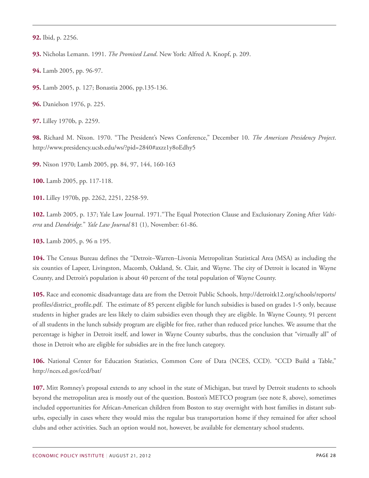<span id="page-27-0"></span>**[92.](#page-14-9)** Ibid, p. 2256.

<span id="page-27-1"></span>**[93.](#page-15-0)** Nicholas Lemann. 1991. *The Promised Land*. New York: Alfred A. Knopf, p. 209.

<span id="page-27-2"></span>**[94.](#page-15-1)** Lamb 2005, pp. 96-97.

<span id="page-27-3"></span>**[95.](#page-15-2)** Lamb 2005, p. 127; Bonastia 2006, pp.135-136.

<span id="page-27-4"></span>**[96.](#page-15-3)** Danielson 1976, p. 225.

<span id="page-27-5"></span>**[97.](#page-15-4)** Lilley 1970b, p. 2259.

<span id="page-27-6"></span>**[98.](#page-15-5)** Richard M. Nixon. 1970. "The President's News Conference," December 10. *The American Presidency Project*. http://www.presidency.ucsb.edu/ws/?pid=2840#axzz1y8oEdhy5

<span id="page-27-7"></span>**[99.](#page-15-6)** Nixon 1970; Lamb 2005, pp. 84, 97, 144, 160-163

<span id="page-27-8"></span>**[100.](#page-15-7)** Lamb 2005, pp. 117-118.

<span id="page-27-9"></span>**[101.](#page-15-8)** Lilley 1970b, pp. 2262, 2251, 2258-59.

<span id="page-27-10"></span>**[102.](#page-15-9)** Lamb 2005, p. 137; Yale Law Journal. 1971."The Equal Protection Clause and Exclusionary Zoning After *Valtierra* and *Dandridge.*" *Yale Law Journal* 81 (1), November: 61-86.

<span id="page-27-11"></span>**[103.](#page-16-0)** Lamb 2005, p. 96 n 195.

<span id="page-27-12"></span>**[104.](#page-16-1)** The Census Bureau defines the "Detroit–Warren–Livonia Metropolitan Statistical Area (MSA) as including the six counties of Lapeer, Livingston, Macomb, Oakland, St. Clair, and Wayne. The city of Detroit is located in Wayne County, and Detroit's population is about 40 percent of the total population of Wayne County.

<span id="page-27-13"></span>**[105.](#page-16-2)** Race and economic disadvantage data are from the Detroit Public Schools, http://detroitk12.org/schools/reports/ profiles/district\_profile.pdf. The estimate of 85 percent eligible for lunch subsidies is based on grades 1-5 only, because students in higher grades are less likely to claim subsidies even though they are eligible. In Wayne County, 91 percent of all students in the lunch subsidy program are eligible for free, rather than reduced price lunches. We assume that the percentage is higher in Detroit itself, and lower in Wayne County suburbs, thus the conclusion that "virtually all" of those in Detroit who are eligible for subsidies are in the free lunch category.

<span id="page-27-14"></span>**[106.](#page-16-3)** National Center for Education Statistics, Common Core of Data (NCES, CCD). "CCD Build a Table," http://nces.ed.gov/ccd/bat/

<span id="page-27-15"></span>**[107.](#page-16-4)** Mitt Romney's proposal extends to any school in the state of Michigan, but travel by Detroit students to schools beyond the metropolitan area is mostly out of the question. Boston's METCO program (see note 8, above), sometimes included opportunities for African-American children from Boston to stay overnight with host families in distant suburbs, especially in cases where they would miss the regular bus transportation home if they remained for after school clubs and other activities. Such an option would not, however, be available for elementary school students.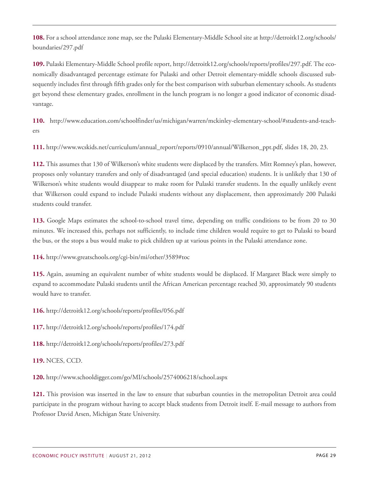<span id="page-28-0"></span>**[108.](#page-16-5)** For a school attendance zone map, see the Pulaski Elementary-Middle School site at http://detroitk12.org/schools/ boundaries/297.pdf

<span id="page-28-1"></span>**[109.](#page-16-6)** Pulaski Elementary-Middle School profile report, http://detroitk12.org/schools/reports/profiles/297.pdf. The economically disadvantaged percentage estimate for Pulaski and other Detroit elementary-middle schools discussed subsequently includes first through fifth grades only for the best comparison with suburban elementary schools. As students get beyond these elementary grades, enrollment in the lunch program is no longer a good indicator of economic disadvantage.

<span id="page-28-2"></span>**[110.](#page-17-0)** http://www.education.com/schoolfinder/us/michigan/warren/mckinley-elementary-school/#students-and-teachers

<span id="page-28-3"></span>**[111.](#page-17-1)** http://www.wcskids.net/curriculum/annual\_report/reports/0910/annual/Wilkerson\_ppt.pdf, slides 18, 20, 23.

<span id="page-28-4"></span>**[112.](#page-17-2)** This assumes that 130 of Wilkerson's white students were displaced by the transfers. Mitt Romney's plan, however, proposes only voluntary transfers and only of disadvantaged (and special education) students. It is unlikely that 130 of Wilkerson's white students would disappear to make room for Pulaski transfer students. In the equally unlikely event that Wilkerson could expand to include Pulaski students without any displacement, then approximately 200 Pulaski students could transfer.

<span id="page-28-5"></span>**[113.](#page-17-3)** Google Maps estimates the school-to-school travel time, depending on traffic conditions to be from 20 to 30 minutes. We increased this, perhaps not sufficiently, to include time children would require to get to Pulaski to board the bus, or the stops a bus would make to pick children up at various points in the Pulaski attendance zone.

<span id="page-28-6"></span>**[114.](#page-17-4)** http://www.greatschools.org/cgi-bin/mi/other/3589#toc

<span id="page-28-7"></span>**[115.](#page-17-5)** Again, assuming an equivalent number of white students would be displaced. If Margaret Black were simply to expand to accommodate Pulaski students until the African American percentage reached 30, approximately 90 students would have to transfer.

<span id="page-28-8"></span>**[116.](#page-17-6)** http://detroitk12.org/schools/reports/profiles/056.pdf

<span id="page-28-9"></span>**[117.](#page-17-7)** http://detroitk12.org/schools/reports/profiles/174.pdf

<span id="page-28-10"></span>**[118.](#page-17-8)** http://detroitk12.org/schools/reports/profiles/273.pdf

<span id="page-28-11"></span>**[119.](#page-17-9)** NCES, CCD.

<span id="page-28-12"></span>**[120.](#page-17-10)** http://www.schooldigger.com/go/MI/schools/2574006218/school.aspx

<span id="page-28-13"></span>**[121.](#page-18-0)** This provision was inserted in the law to ensure that suburban counties in the metropolitan Detroit area could participate in the program without having to accept black students from Detroit itself. E-mail message to authors from Professor David Arsen, Michigan State University.